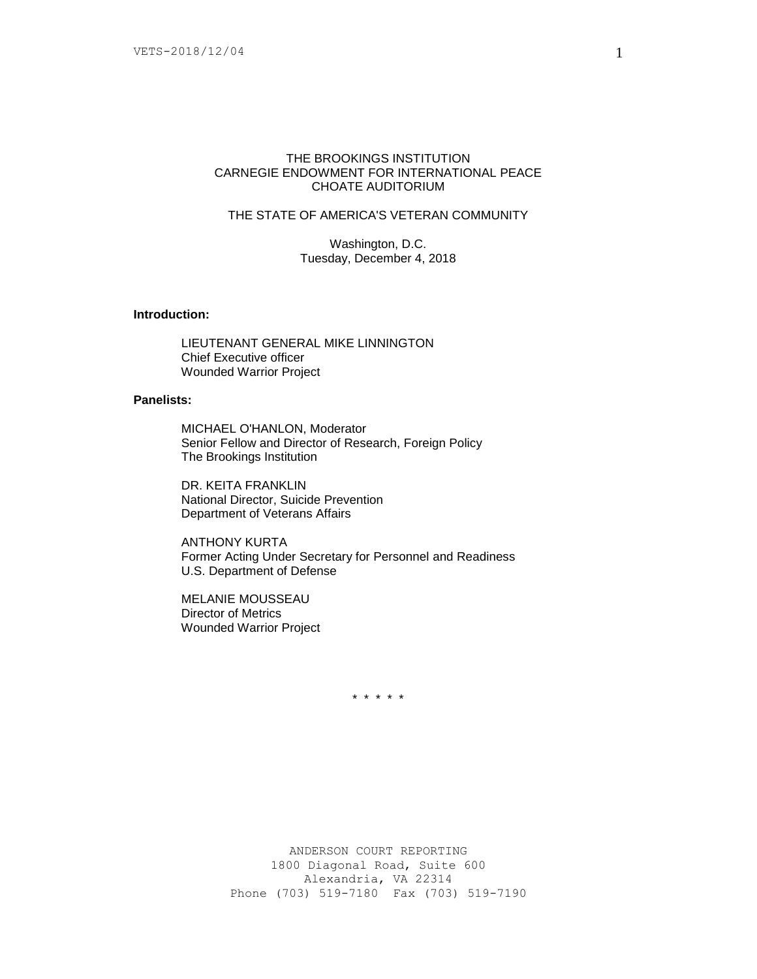### THE BROOKINGS INSTITUTION CARNEGIE ENDOWMENT FOR INTERNATIONAL PEACE CHOATE AUDITORIUM

# THE STATE OF AMERICA'S VETERAN COMMUNITY

Washington, D.C. Tuesday, December 4, 2018

### **Introduction:**

LIEUTENANT GENERAL MIKE LINNINGTON Chief Executive officer Wounded Warrior Project

## **Panelists:**

MICHAEL O'HANLON, Moderator Senior Fellow and Director of Research, Foreign Policy The Brookings Institution

DR. KEITA FRANKLIN National Director, Suicide Prevention Department of Veterans Affairs

ANTHONY KURTA Former Acting Under Secretary for Personnel and Readiness U.S. Department of Defense

MELANIE MOUSSEAU Director of Metrics Wounded Warrior Project

\* \* \* \* \*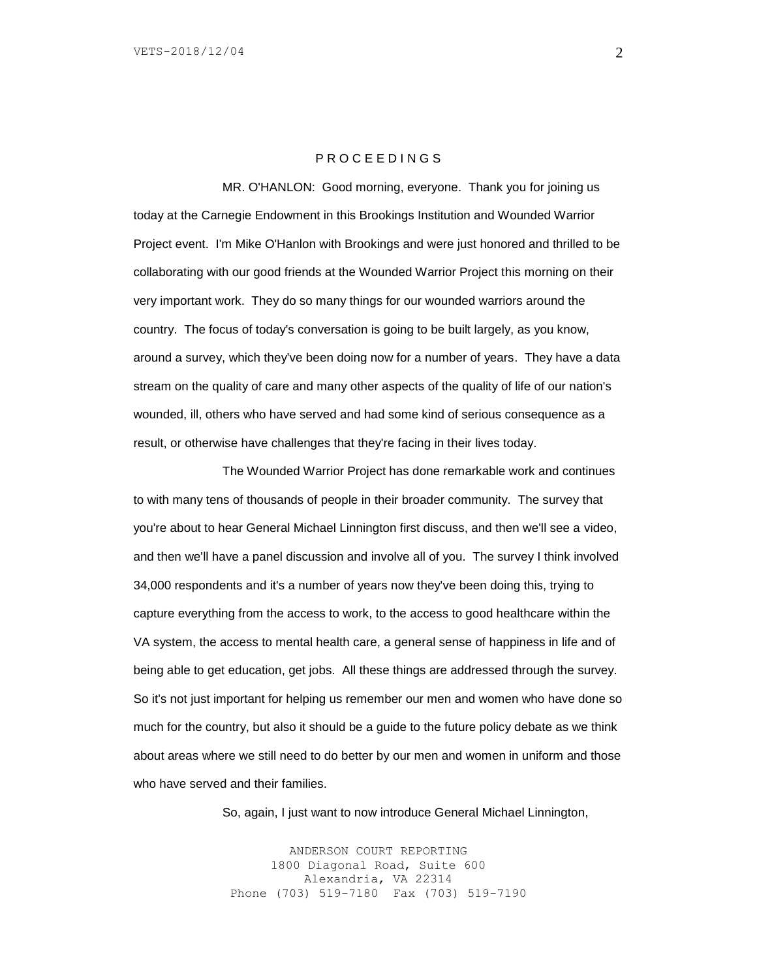### P R O C E E D I N G S

MR. O'HANLON: Good morning, everyone. Thank you for joining us today at the Carnegie Endowment in this Brookings Institution and Wounded Warrior Project event. I'm Mike O'Hanlon with Brookings and were just honored and thrilled to be collaborating with our good friends at the Wounded Warrior Project this morning on their very important work. They do so many things for our wounded warriors around the country. The focus of today's conversation is going to be built largely, as you know, around a survey, which they've been doing now for a number of years. They have a data stream on the quality of care and many other aspects of the quality of life of our nation's wounded, ill, others who have served and had some kind of serious consequence as a result, or otherwise have challenges that they're facing in their lives today.

The Wounded Warrior Project has done remarkable work and continues to with many tens of thousands of people in their broader community. The survey that you're about to hear General Michael Linnington first discuss, and then we'll see a video, and then we'll have a panel discussion and involve all of you. The survey I think involved 34,000 respondents and it's a number of years now they've been doing this, trying to capture everything from the access to work, to the access to good healthcare within the VA system, the access to mental health care, a general sense of happiness in life and of being able to get education, get jobs. All these things are addressed through the survey. So it's not just important for helping us remember our men and women who have done so much for the country, but also it should be a guide to the future policy debate as we think about areas where we still need to do better by our men and women in uniform and those who have served and their families.

So, again, I just want to now introduce General Michael Linnington,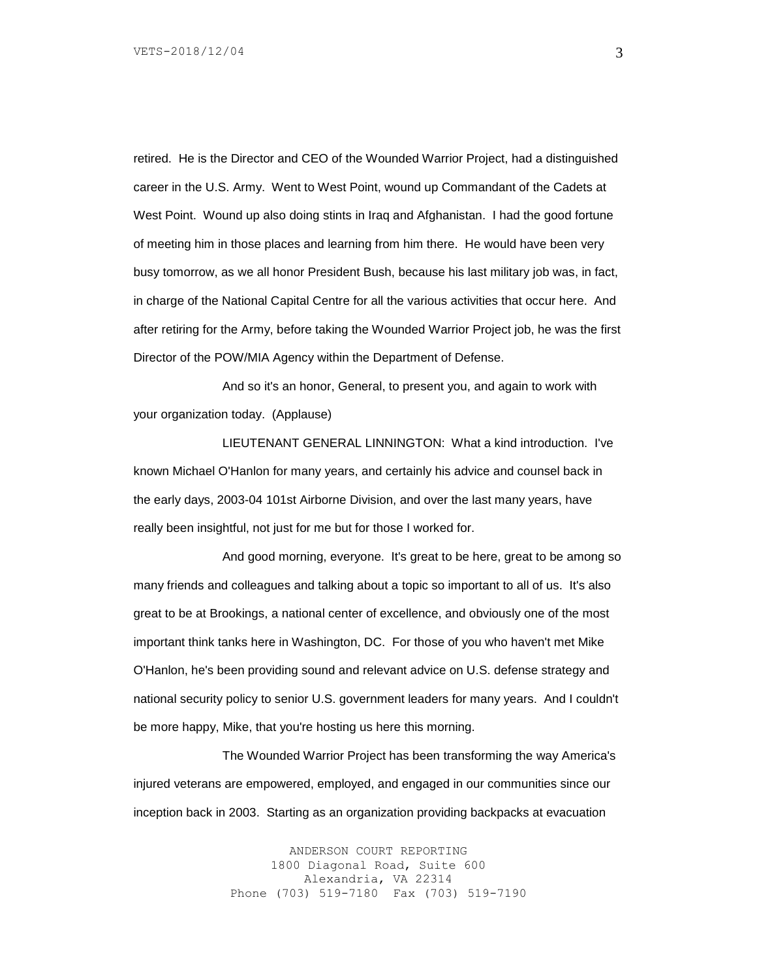retired. He is the Director and CEO of the Wounded Warrior Project, had a distinguished career in the U.S. Army. Went to West Point, wound up Commandant of the Cadets at West Point. Wound up also doing stints in Iraq and Afghanistan. I had the good fortune of meeting him in those places and learning from him there. He would have been very busy tomorrow, as we all honor President Bush, because his last military job was, in fact, in charge of the National Capital Centre for all the various activities that occur here. And after retiring for the Army, before taking the Wounded Warrior Project job, he was the first Director of the POW/MIA Agency within the Department of Defense.

And so it's an honor, General, to present you, and again to work with your organization today. (Applause)

LIEUTENANT GENERAL LINNINGTON: What a kind introduction. I've known Michael O'Hanlon for many years, and certainly his advice and counsel back in the early days, 2003-04 101st Airborne Division, and over the last many years, have really been insightful, not just for me but for those I worked for.

And good morning, everyone. It's great to be here, great to be among so many friends and colleagues and talking about a topic so important to all of us. It's also great to be at Brookings, a national center of excellence, and obviously one of the most important think tanks here in Washington, DC. For those of you who haven't met Mike O'Hanlon, he's been providing sound and relevant advice on U.S. defense strategy and national security policy to senior U.S. government leaders for many years. And I couldn't be more happy, Mike, that you're hosting us here this morning.

The Wounded Warrior Project has been transforming the way America's injured veterans are empowered, employed, and engaged in our communities since our inception back in 2003. Starting as an organization providing backpacks at evacuation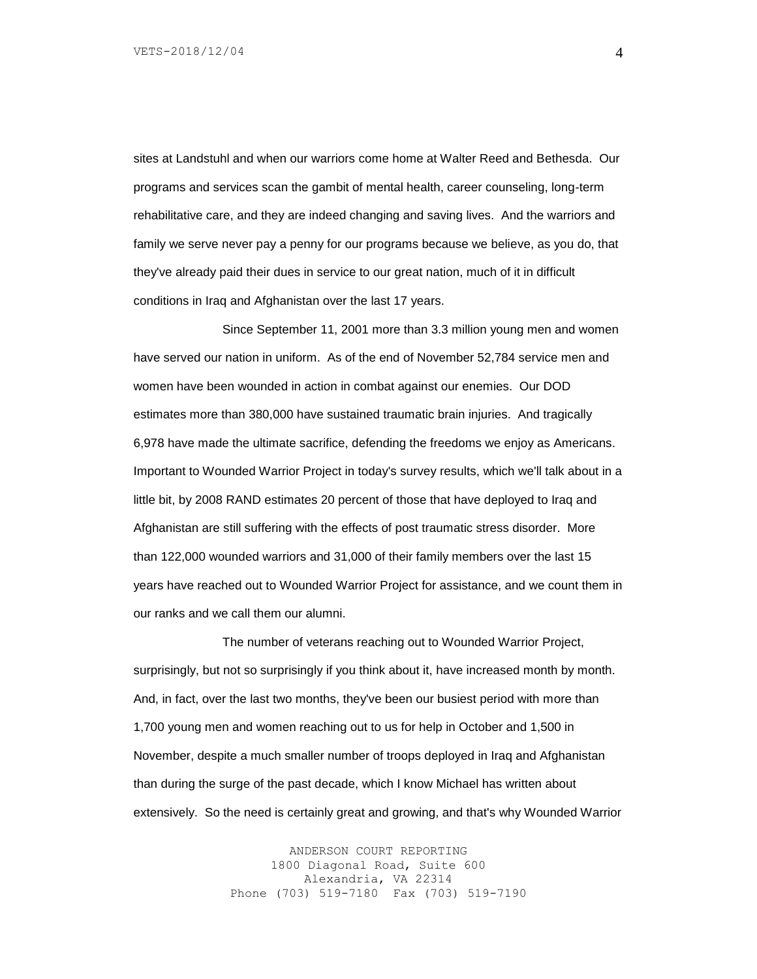sites at Landstuhl and when our warriors come home at Walter Reed and Bethesda. Our programs and services scan the gambit of mental health, career counseling, long-term rehabilitative care, and they are indeed changing and saving lives. And the warriors and family we serve never pay a penny for our programs because we believe, as you do, that they've already paid their dues in service to our great nation, much of it in difficult conditions in Iraq and Afghanistan over the last 17 years.

Since September 11, 2001 more than 3.3 million young men and women have served our nation in uniform. As of the end of November 52,784 service men and women have been wounded in action in combat against our enemies. Our DOD estimates more than 380,000 have sustained traumatic brain injuries. And tragically 6,978 have made the ultimate sacrifice, defending the freedoms we enjoy as Americans. Important to Wounded Warrior Project in today's survey results, which we'll talk about in a little bit, by 2008 RAND estimates 20 percent of those that have deployed to Iraq and Afghanistan are still suffering with the effects of post traumatic stress disorder. More than 122,000 wounded warriors and 31,000 of their family members over the last 15 years have reached out to Wounded Warrior Project for assistance, and we count them in our ranks and we call them our alumni.

The number of veterans reaching out to Wounded Warrior Project, surprisingly, but not so surprisingly if you think about it, have increased month by month. And, in fact, over the last two months, they've been our busiest period with more than 1,700 young men and women reaching out to us for help in October and 1,500 in November, despite a much smaller number of troops deployed in Iraq and Afghanistan than during the surge of the past decade, which I know Michael has written about extensively. So the need is certainly great and growing, and that's why Wounded Warrior

> ANDERSON COURT REPORTING 1800 Diagonal Road, Suite 600 Alexandria, VA 22314 Phone (703) 519-7180 Fax (703) 519-7190

4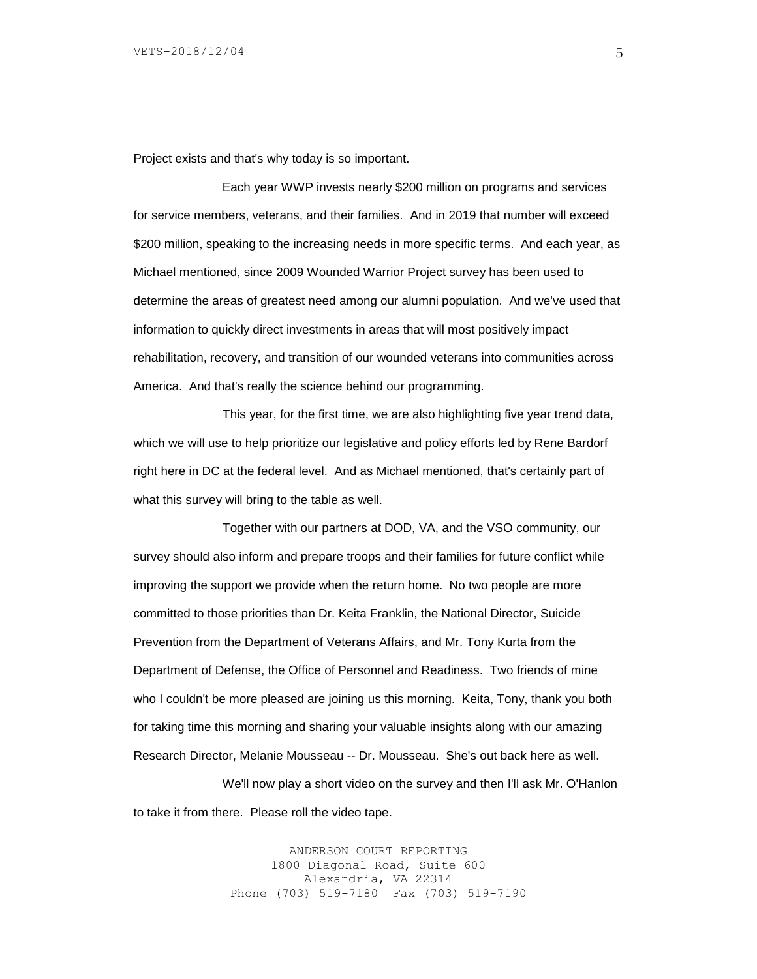Project exists and that's why today is so important.

Each year WWP invests nearly \$200 million on programs and services for service members, veterans, and their families. And in 2019 that number will exceed \$200 million, speaking to the increasing needs in more specific terms. And each year, as Michael mentioned, since 2009 Wounded Warrior Project survey has been used to determine the areas of greatest need among our alumni population. And we've used that information to quickly direct investments in areas that will most positively impact rehabilitation, recovery, and transition of our wounded veterans into communities across America. And that's really the science behind our programming.

This year, for the first time, we are also highlighting five year trend data, which we will use to help prioritize our legislative and policy efforts led by Rene Bardorf right here in DC at the federal level. And as Michael mentioned, that's certainly part of what this survey will bring to the table as well.

Together with our partners at DOD, VA, and the VSO community, our survey should also inform and prepare troops and their families for future conflict while improving the support we provide when the return home. No two people are more committed to those priorities than Dr. Keita Franklin, the National Director, Suicide Prevention from the Department of Veterans Affairs, and Mr. Tony Kurta from the Department of Defense, the Office of Personnel and Readiness. Two friends of mine who I couldn't be more pleased are joining us this morning. Keita, Tony, thank you both for taking time this morning and sharing your valuable insights along with our amazing Research Director, Melanie Mousseau -- Dr. Mousseau. She's out back here as well.

We'll now play a short video on the survey and then I'll ask Mr. O'Hanlon to take it from there. Please roll the video tape.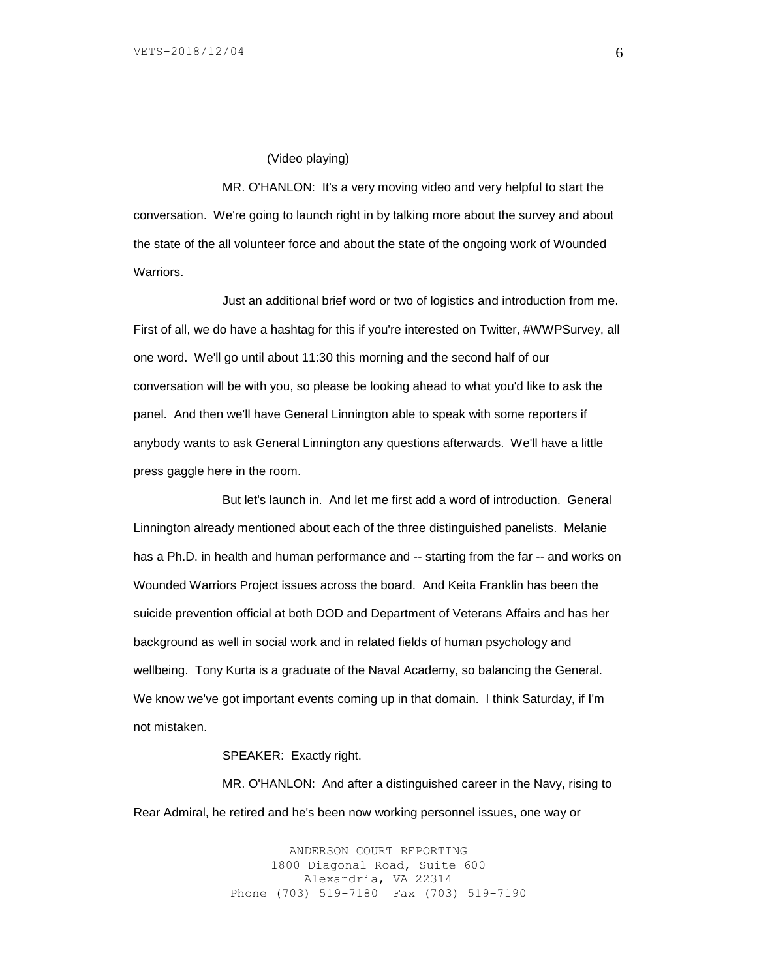#### (Video playing)

MR. O'HANLON: It's a very moving video and very helpful to start the conversation. We're going to launch right in by talking more about the survey and about the state of the all volunteer force and about the state of the ongoing work of Wounded **Warriors** 

Just an additional brief word or two of logistics and introduction from me. First of all, we do have a hashtag for this if you're interested on Twitter, #WWPSurvey, all one word. We'll go until about 11:30 this morning and the second half of our conversation will be with you, so please be looking ahead to what you'd like to ask the panel. And then we'll have General Linnington able to speak with some reporters if anybody wants to ask General Linnington any questions afterwards. We'll have a little press gaggle here in the room.

But let's launch in. And let me first add a word of introduction. General Linnington already mentioned about each of the three distinguished panelists. Melanie has a Ph.D. in health and human performance and -- starting from the far -- and works on Wounded Warriors Project issues across the board. And Keita Franklin has been the suicide prevention official at both DOD and Department of Veterans Affairs and has her background as well in social work and in related fields of human psychology and wellbeing. Tony Kurta is a graduate of the Naval Academy, so balancing the General. We know we've got important events coming up in that domain. I think Saturday, if I'm not mistaken.

### SPEAKER: Exactly right.

MR. O'HANLON: And after a distinguished career in the Navy, rising to Rear Admiral, he retired and he's been now working personnel issues, one way or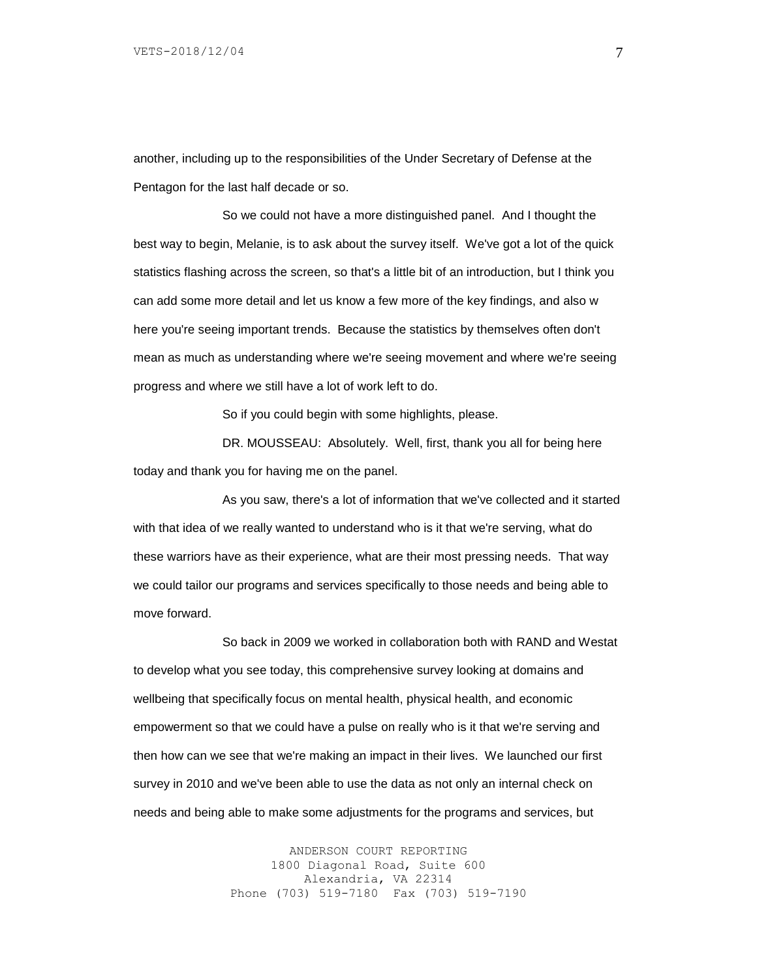another, including up to the responsibilities of the Under Secretary of Defense at the Pentagon for the last half decade or so.

So we could not have a more distinguished panel. And I thought the best way to begin, Melanie, is to ask about the survey itself. We've got a lot of the quick statistics flashing across the screen, so that's a little bit of an introduction, but I think you can add some more detail and let us know a few more of the key findings, and also w here you're seeing important trends. Because the statistics by themselves often don't mean as much as understanding where we're seeing movement and where we're seeing progress and where we still have a lot of work left to do.

So if you could begin with some highlights, please.

DR. MOUSSEAU: Absolutely. Well, first, thank you all for being here today and thank you for having me on the panel.

As you saw, there's a lot of information that we've collected and it started with that idea of we really wanted to understand who is it that we're serving, what do these warriors have as their experience, what are their most pressing needs. That way we could tailor our programs and services specifically to those needs and being able to move forward.

So back in 2009 we worked in collaboration both with RAND and Westat to develop what you see today, this comprehensive survey looking at domains and wellbeing that specifically focus on mental health, physical health, and economic empowerment so that we could have a pulse on really who is it that we're serving and then how can we see that we're making an impact in their lives. We launched our first survey in 2010 and we've been able to use the data as not only an internal check on needs and being able to make some adjustments for the programs and services, but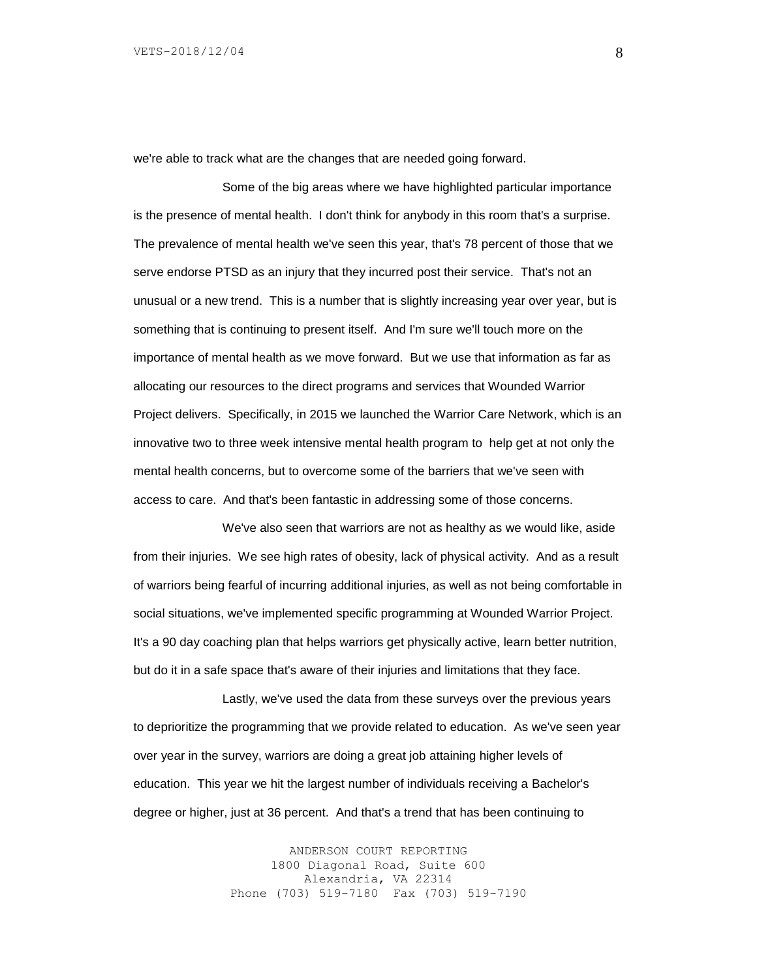we're able to track what are the changes that are needed going forward.

Some of the big areas where we have highlighted particular importance is the presence of mental health. I don't think for anybody in this room that's a surprise. The prevalence of mental health we've seen this year, that's 78 percent of those that we serve endorse PTSD as an injury that they incurred post their service. That's not an unusual or a new trend. This is a number that is slightly increasing year over year, but is something that is continuing to present itself. And I'm sure we'll touch more on the importance of mental health as we move forward. But we use that information as far as allocating our resources to the direct programs and services that Wounded Warrior Project delivers. Specifically, in 2015 we launched the Warrior Care Network, which is an innovative two to three week intensive mental health program to help get at not only the mental health concerns, but to overcome some of the barriers that we've seen with access to care. And that's been fantastic in addressing some of those concerns.

We've also seen that warriors are not as healthy as we would like, aside from their injuries. We see high rates of obesity, lack of physical activity. And as a result of warriors being fearful of incurring additional injuries, as well as not being comfortable in social situations, we've implemented specific programming at Wounded Warrior Project. It's a 90 day coaching plan that helps warriors get physically active, learn better nutrition, but do it in a safe space that's aware of their injuries and limitations that they face.

Lastly, we've used the data from these surveys over the previous years to deprioritize the programming that we provide related to education. As we've seen year over year in the survey, warriors are doing a great job attaining higher levels of education. This year we hit the largest number of individuals receiving a Bachelor's degree or higher, just at 36 percent. And that's a trend that has been continuing to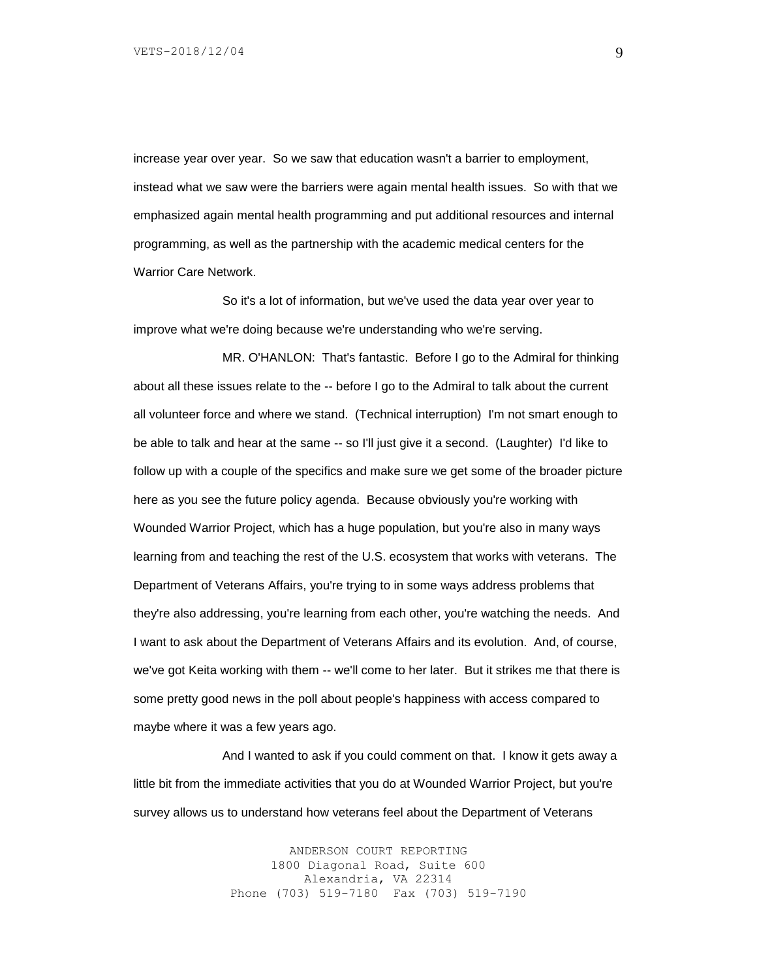increase year over year. So we saw that education wasn't a barrier to employment, instead what we saw were the barriers were again mental health issues. So with that we emphasized again mental health programming and put additional resources and internal programming, as well as the partnership with the academic medical centers for the Warrior Care Network.

So it's a lot of information, but we've used the data year over year to improve what we're doing because we're understanding who we're serving.

MR. O'HANLON: That's fantastic. Before I go to the Admiral for thinking about all these issues relate to the -- before I go to the Admiral to talk about the current all volunteer force and where we stand. (Technical interruption) I'm not smart enough to be able to talk and hear at the same -- so I'll just give it a second. (Laughter) I'd like to follow up with a couple of the specifics and make sure we get some of the broader picture here as you see the future policy agenda. Because obviously you're working with Wounded Warrior Project, which has a huge population, but you're also in many ways learning from and teaching the rest of the U.S. ecosystem that works with veterans. The Department of Veterans Affairs, you're trying to in some ways address problems that they're also addressing, you're learning from each other, you're watching the needs. And I want to ask about the Department of Veterans Affairs and its evolution. And, of course, we've got Keita working with them -- we'll come to her later. But it strikes me that there is some pretty good news in the poll about people's happiness with access compared to maybe where it was a few years ago.

And I wanted to ask if you could comment on that. I know it gets away a little bit from the immediate activities that you do at Wounded Warrior Project, but you're survey allows us to understand how veterans feel about the Department of Veterans

> ANDERSON COURT REPORTING 1800 Diagonal Road, Suite 600 Alexandria, VA 22314 Phone (703) 519-7180 Fax (703) 519-7190

9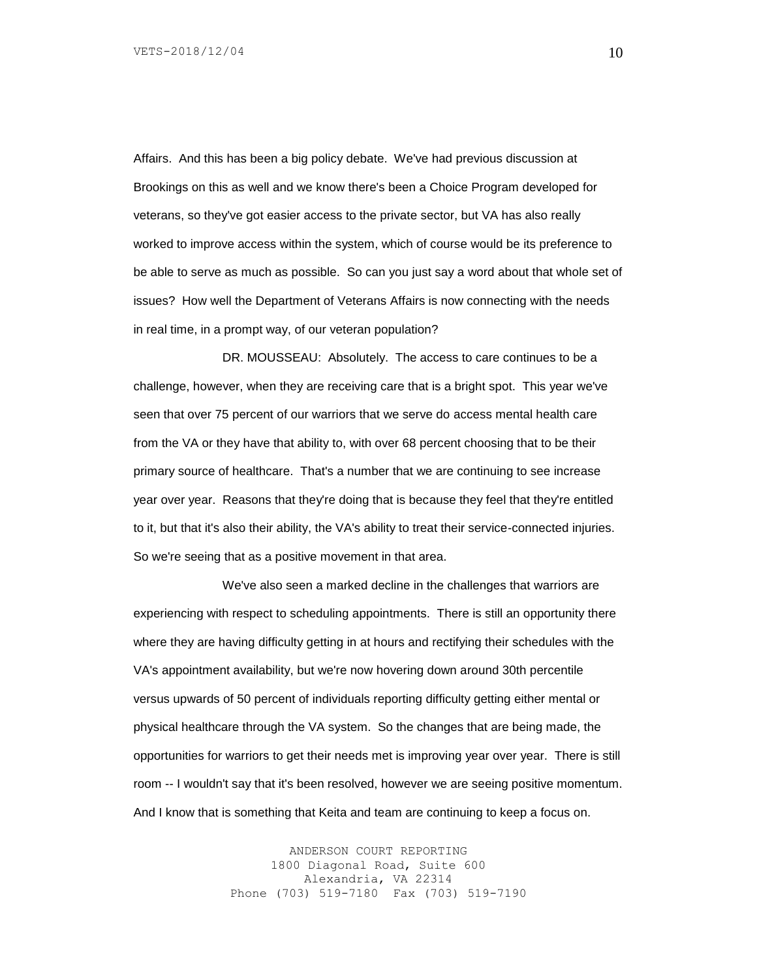Affairs. And this has been a big policy debate. We've had previous discussion at Brookings on this as well and we know there's been a Choice Program developed for veterans, so they've got easier access to the private sector, but VA has also really worked to improve access within the system, which of course would be its preference to be able to serve as much as possible. So can you just say a word about that whole set of issues? How well the Department of Veterans Affairs is now connecting with the needs in real time, in a prompt way, of our veteran population?

DR. MOUSSEAU: Absolutely. The access to care continues to be a challenge, however, when they are receiving care that is a bright spot. This year we've seen that over 75 percent of our warriors that we serve do access mental health care from the VA or they have that ability to, with over 68 percent choosing that to be their primary source of healthcare. That's a number that we are continuing to see increase year over year. Reasons that they're doing that is because they feel that they're entitled to it, but that it's also their ability, the VA's ability to treat their service-connected injuries. So we're seeing that as a positive movement in that area.

We've also seen a marked decline in the challenges that warriors are experiencing with respect to scheduling appointments. There is still an opportunity there where they are having difficulty getting in at hours and rectifying their schedules with the VA's appointment availability, but we're now hovering down around 30th percentile versus upwards of 50 percent of individuals reporting difficulty getting either mental or physical healthcare through the VA system. So the changes that are being made, the opportunities for warriors to get their needs met is improving year over year. There is still room -- I wouldn't say that it's been resolved, however we are seeing positive momentum. And I know that is something that Keita and team are continuing to keep a focus on.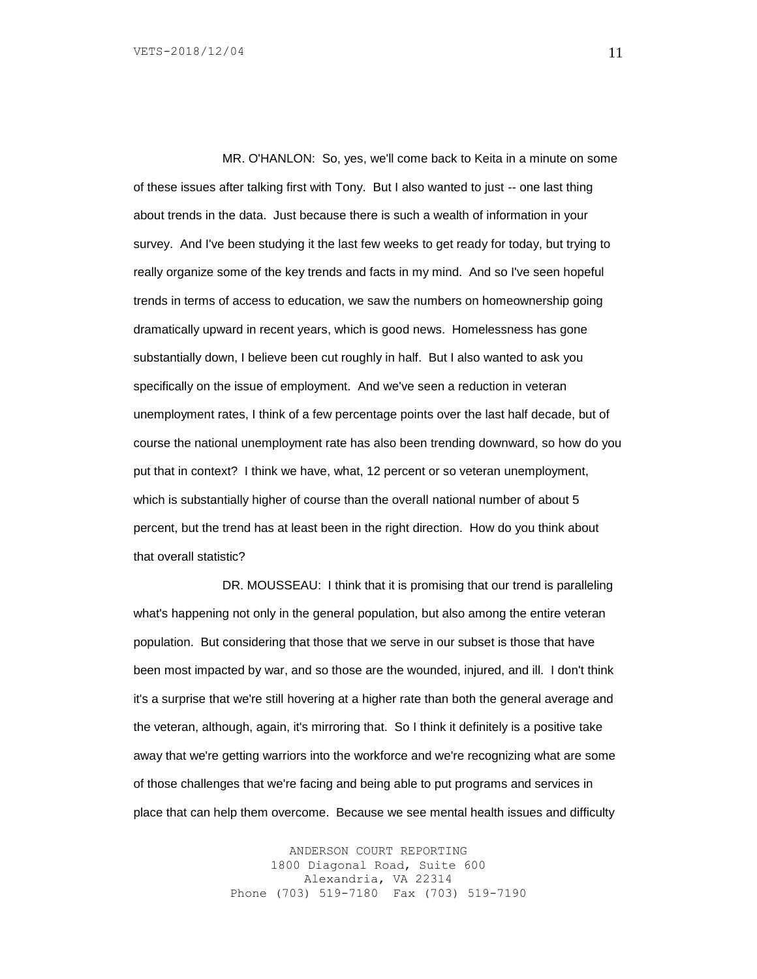MR. O'HANLON: So, yes, we'll come back to Keita in a minute on some of these issues after talking first with Tony. But I also wanted to just -- one last thing about trends in the data. Just because there is such a wealth of information in your survey. And I've been studying it the last few weeks to get ready for today, but trying to really organize some of the key trends and facts in my mind. And so I've seen hopeful trends in terms of access to education, we saw the numbers on homeownership going dramatically upward in recent years, which is good news. Homelessness has gone substantially down, I believe been cut roughly in half. But I also wanted to ask you specifically on the issue of employment. And we've seen a reduction in veteran unemployment rates, I think of a few percentage points over the last half decade, but of course the national unemployment rate has also been trending downward, so how do you put that in context? I think we have, what, 12 percent or so veteran unemployment, which is substantially higher of course than the overall national number of about 5 percent, but the trend has at least been in the right direction. How do you think about that overall statistic?

DR. MOUSSEAU: I think that it is promising that our trend is paralleling what's happening not only in the general population, but also among the entire veteran population. But considering that those that we serve in our subset is those that have been most impacted by war, and so those are the wounded, injured, and ill. I don't think it's a surprise that we're still hovering at a higher rate than both the general average and the veteran, although, again, it's mirroring that. So I think it definitely is a positive take away that we're getting warriors into the workforce and we're recognizing what are some of those challenges that we're facing and being able to put programs and services in place that can help them overcome. Because we see mental health issues and difficulty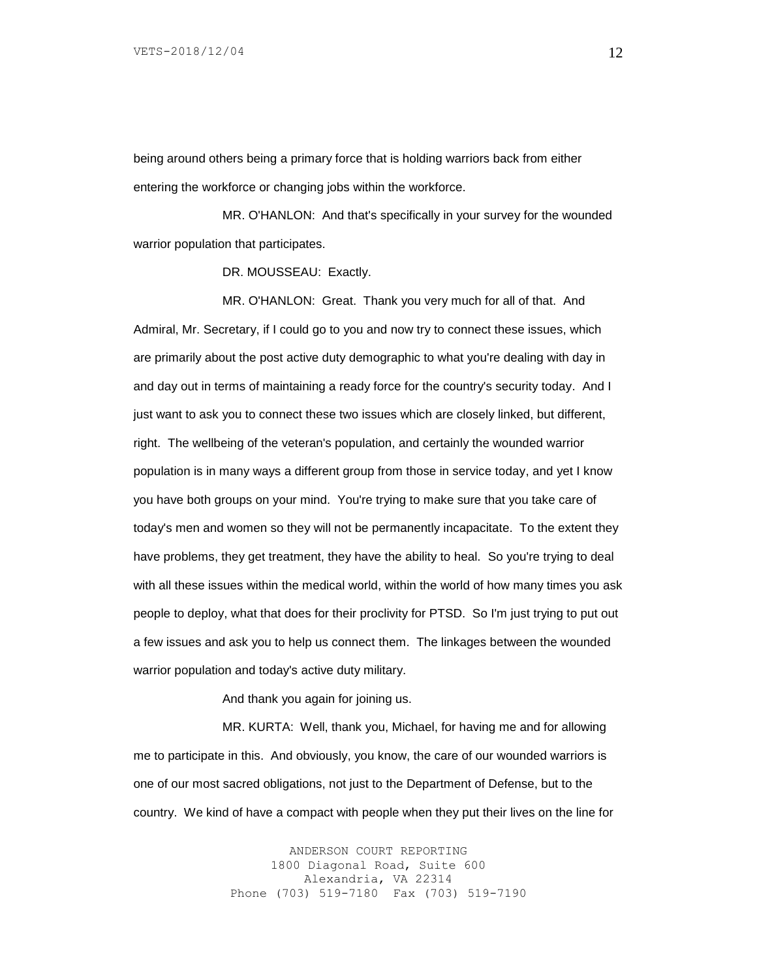being around others being a primary force that is holding warriors back from either entering the workforce or changing jobs within the workforce.

MR. O'HANLON: And that's specifically in your survey for the wounded warrior population that participates.

DR. MOUSSEAU: Exactly.

MR. O'HANLON: Great. Thank you very much for all of that. And Admiral, Mr. Secretary, if I could go to you and now try to connect these issues, which are primarily about the post active duty demographic to what you're dealing with day in and day out in terms of maintaining a ready force for the country's security today. And I just want to ask you to connect these two issues which are closely linked, but different, right. The wellbeing of the veteran's population, and certainly the wounded warrior population is in many ways a different group from those in service today, and yet I know you have both groups on your mind. You're trying to make sure that you take care of today's men and women so they will not be permanently incapacitate. To the extent they have problems, they get treatment, they have the ability to heal. So you're trying to deal with all these issues within the medical world, within the world of how many times you ask people to deploy, what that does for their proclivity for PTSD. So I'm just trying to put out a few issues and ask you to help us connect them. The linkages between the wounded warrior population and today's active duty military.

And thank you again for joining us.

MR. KURTA: Well, thank you, Michael, for having me and for allowing me to participate in this. And obviously, you know, the care of our wounded warriors is one of our most sacred obligations, not just to the Department of Defense, but to the country. We kind of have a compact with people when they put their lives on the line for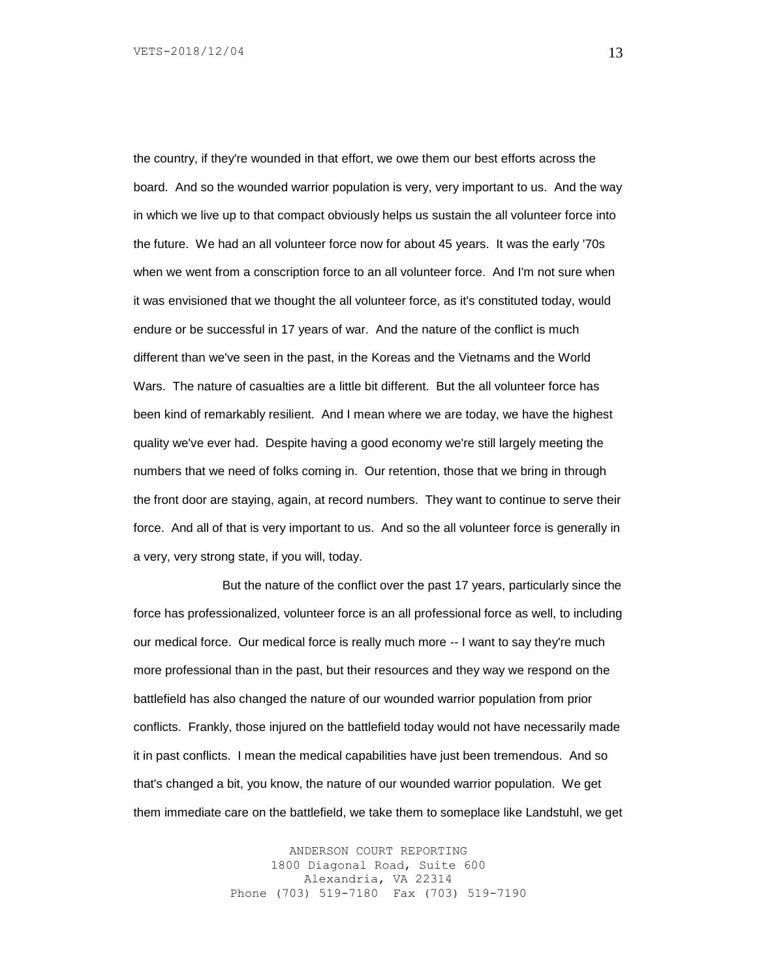the country, if they're wounded in that effort, we owe them our best efforts across the board. And so the wounded warrior population is very, very important to us. And the way in which we live up to that compact obviously helps us sustain the all volunteer force into the future. We had an all volunteer force now for about 45 years. It was the early '70s when we went from a conscription force to an all volunteer force. And I'm not sure when it was envisioned that we thought the all volunteer force, as it's constituted today, would endure or be successful in 17 years of war. And the nature of the conflict is much different than we've seen in the past, in the Koreas and the Vietnams and the World Wars. The nature of casualties are a little bit different. But the all volunteer force has been kind of remarkably resilient. And I mean where we are today, we have the highest quality we've ever had. Despite having a good economy we're still largely meeting the numbers that we need of folks coming in. Our retention, those that we bring in through the front door are staying, again, at record numbers. They want to continue to serve their force. And all of that is very important to us. And so the all volunteer force is generally in a very, very strong state, if you will, today.

But the nature of the conflict over the past 17 years, particularly since the force has professionalized, volunteer force is an all professional force as well, to including our medical force. Our medical force is really much more -- I want to say they're much more professional than in the past, but their resources and they way we respond on the battlefield has also changed the nature of our wounded warrior population from prior conflicts. Frankly, those injured on the battlefield today would not have necessarily made it in past conflicts. I mean the medical capabilities have just been tremendous. And so that's changed a bit, you know, the nature of our wounded warrior population. We get them immediate care on the battlefield, we take them to someplace like Landstuhl, we get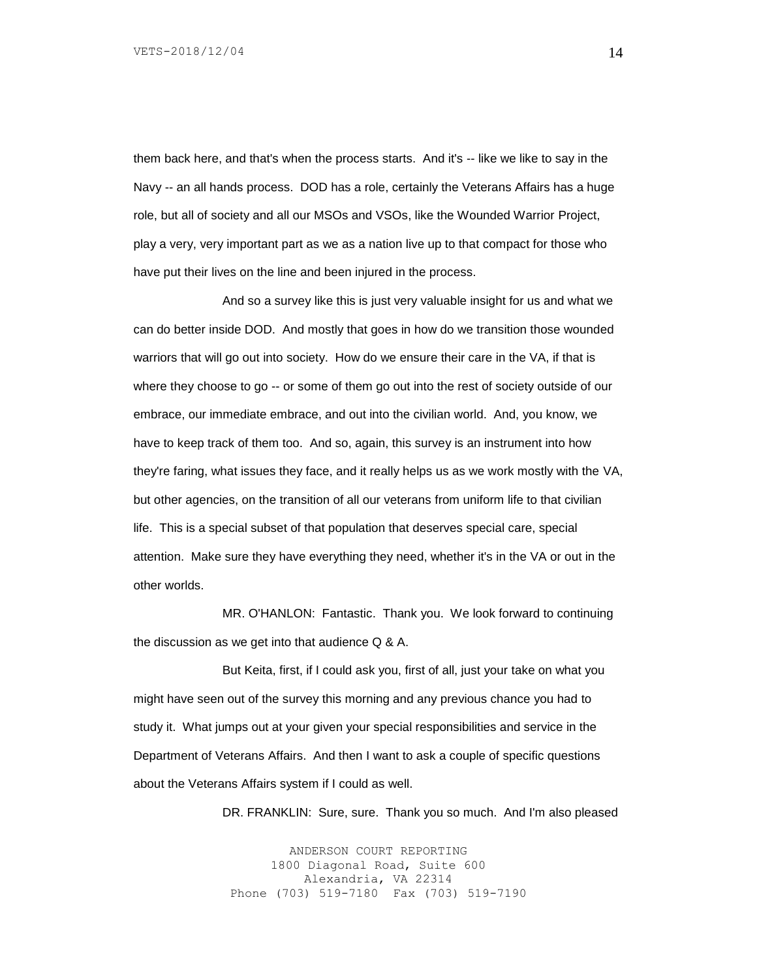them back here, and that's when the process starts. And it's -- like we like to say in the Navy -- an all hands process. DOD has a role, certainly the Veterans Affairs has a huge role, but all of society and all our MSOs and VSOs, like the Wounded Warrior Project, play a very, very important part as we as a nation live up to that compact for those who have put their lives on the line and been injured in the process.

And so a survey like this is just very valuable insight for us and what we can do better inside DOD. And mostly that goes in how do we transition those wounded warriors that will go out into society. How do we ensure their care in the VA, if that is where they choose to go -- or some of them go out into the rest of society outside of our embrace, our immediate embrace, and out into the civilian world. And, you know, we have to keep track of them too. And so, again, this survey is an instrument into how they're faring, what issues they face, and it really helps us as we work mostly with the VA, but other agencies, on the transition of all our veterans from uniform life to that civilian life. This is a special subset of that population that deserves special care, special attention. Make sure they have everything they need, whether it's in the VA or out in the other worlds.

MR. O'HANLON: Fantastic. Thank you. We look forward to continuing the discussion as we get into that audience Q & A.

But Keita, first, if I could ask you, first of all, just your take on what you might have seen out of the survey this morning and any previous chance you had to study it. What jumps out at your given your special responsibilities and service in the Department of Veterans Affairs. And then I want to ask a couple of specific questions about the Veterans Affairs system if I could as well.

DR. FRANKLIN: Sure, sure. Thank you so much. And I'm also pleased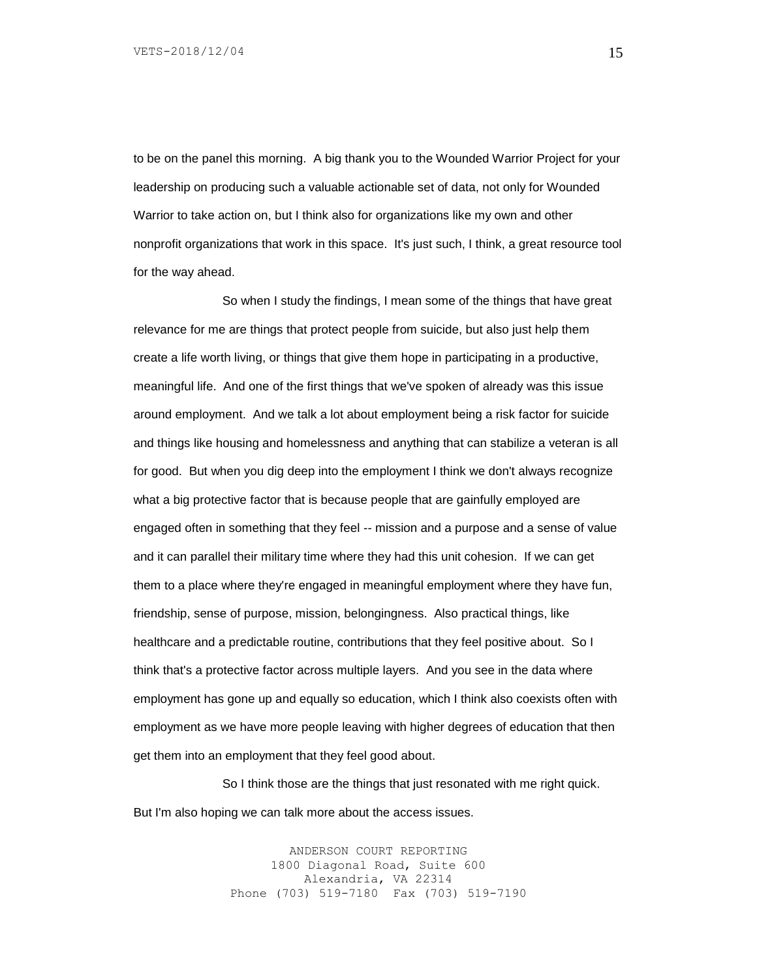to be on the panel this morning. A big thank you to the Wounded Warrior Project for your leadership on producing such a valuable actionable set of data, not only for Wounded Warrior to take action on, but I think also for organizations like my own and other nonprofit organizations that work in this space. It's just such, I think, a great resource tool for the way ahead.

So when I study the findings, I mean some of the things that have great relevance for me are things that protect people from suicide, but also just help them create a life worth living, or things that give them hope in participating in a productive, meaningful life. And one of the first things that we've spoken of already was this issue around employment. And we talk a lot about employment being a risk factor for suicide and things like housing and homelessness and anything that can stabilize a veteran is all for good. But when you dig deep into the employment I think we don't always recognize what a big protective factor that is because people that are gainfully employed are engaged often in something that they feel -- mission and a purpose and a sense of value and it can parallel their military time where they had this unit cohesion. If we can get them to a place where they're engaged in meaningful employment where they have fun, friendship, sense of purpose, mission, belongingness. Also practical things, like healthcare and a predictable routine, contributions that they feel positive about. So I think that's a protective factor across multiple layers. And you see in the data where employment has gone up and equally so education, which I think also coexists often with employment as we have more people leaving with higher degrees of education that then get them into an employment that they feel good about.

So I think those are the things that just resonated with me right quick. But I'm also hoping we can talk more about the access issues.

> ANDERSON COURT REPORTING 1800 Diagonal Road, Suite 600 Alexandria, VA 22314 Phone (703) 519-7180 Fax (703) 519-7190

15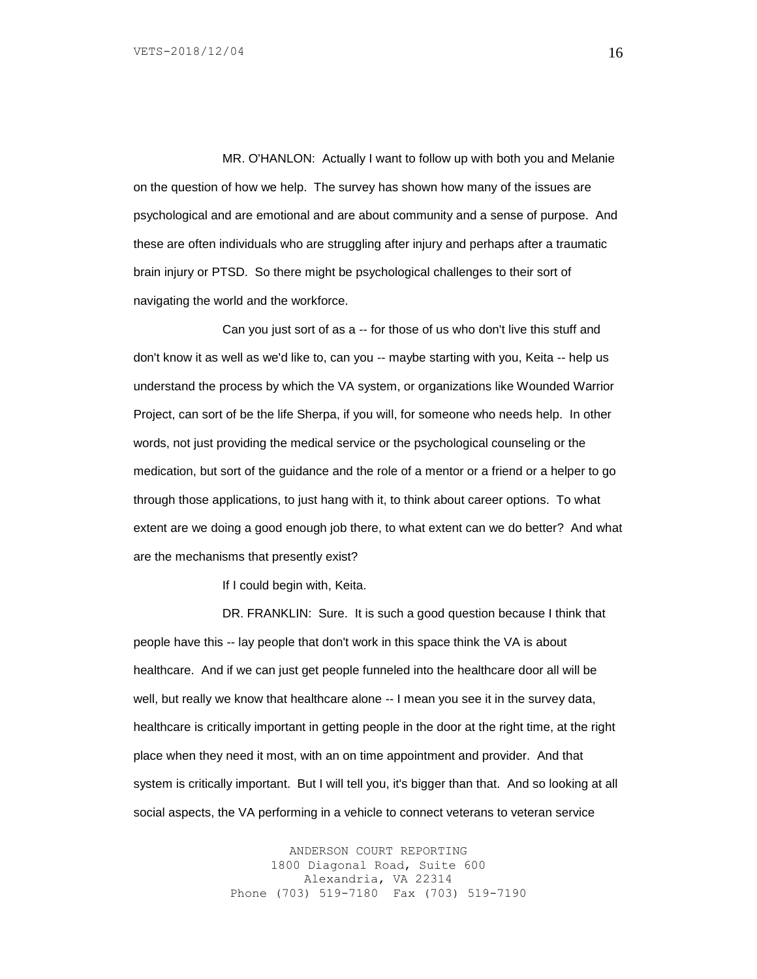MR. O'HANLON: Actually I want to follow up with both you and Melanie on the question of how we help. The survey has shown how many of the issues are psychological and are emotional and are about community and a sense of purpose. And these are often individuals who are struggling after injury and perhaps after a traumatic brain injury or PTSD. So there might be psychological challenges to their sort of navigating the world and the workforce.

Can you just sort of as a -- for those of us who don't live this stuff and don't know it as well as we'd like to, can you -- maybe starting with you, Keita -- help us understand the process by which the VA system, or organizations like Wounded Warrior Project, can sort of be the life Sherpa, if you will, for someone who needs help. In other words, not just providing the medical service or the psychological counseling or the medication, but sort of the guidance and the role of a mentor or a friend or a helper to go through those applications, to just hang with it, to think about career options. To what extent are we doing a good enough job there, to what extent can we do better? And what are the mechanisms that presently exist?

If I could begin with, Keita.

DR. FRANKLIN: Sure. It is such a good question because I think that people have this -- lay people that don't work in this space think the VA is about healthcare. And if we can just get people funneled into the healthcare door all will be well, but really we know that healthcare alone -- I mean you see it in the survey data, healthcare is critically important in getting people in the door at the right time, at the right place when they need it most, with an on time appointment and provider. And that system is critically important. But I will tell you, it's bigger than that. And so looking at all social aspects, the VA performing in a vehicle to connect veterans to veteran service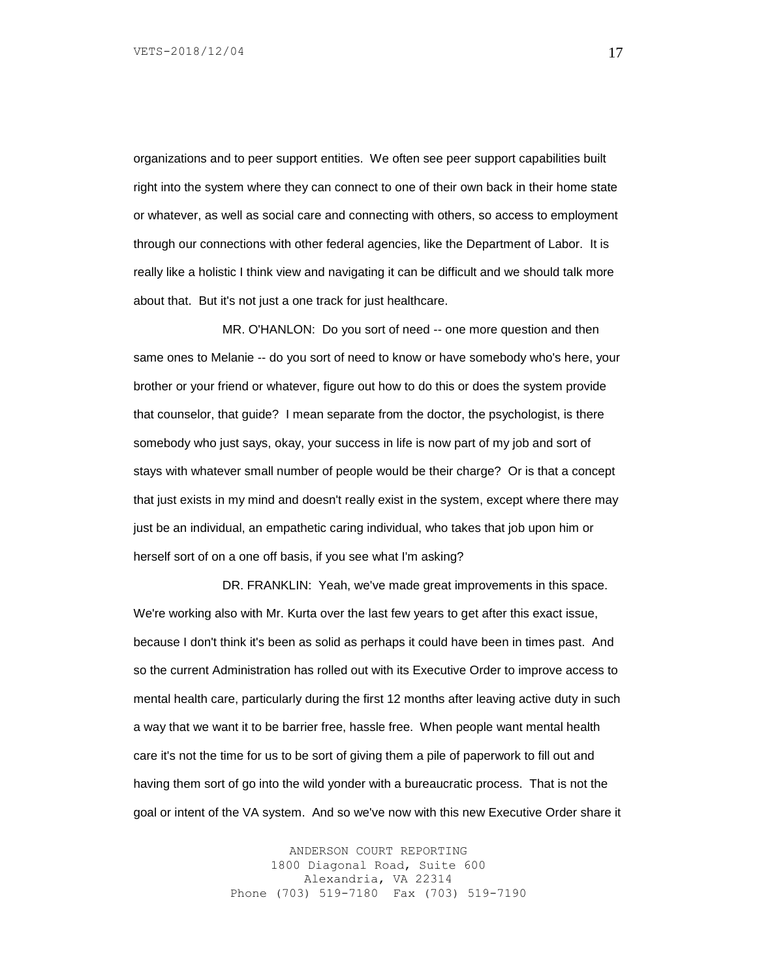organizations and to peer support entities. We often see peer support capabilities built right into the system where they can connect to one of their own back in their home state or whatever, as well as social care and connecting with others, so access to employment through our connections with other federal agencies, like the Department of Labor. It is really like a holistic I think view and navigating it can be difficult and we should talk more about that. But it's not just a one track for just healthcare.

MR. O'HANLON: Do you sort of need -- one more question and then same ones to Melanie -- do you sort of need to know or have somebody who's here, your brother or your friend or whatever, figure out how to do this or does the system provide that counselor, that guide? I mean separate from the doctor, the psychologist, is there somebody who just says, okay, your success in life is now part of my job and sort of stays with whatever small number of people would be their charge? Or is that a concept that just exists in my mind and doesn't really exist in the system, except where there may just be an individual, an empathetic caring individual, who takes that job upon him or herself sort of on a one off basis, if you see what I'm asking?

DR. FRANKLIN: Yeah, we've made great improvements in this space. We're working also with Mr. Kurta over the last few years to get after this exact issue, because I don't think it's been as solid as perhaps it could have been in times past. And so the current Administration has rolled out with its Executive Order to improve access to mental health care, particularly during the first 12 months after leaving active duty in such a way that we want it to be barrier free, hassle free. When people want mental health care it's not the time for us to be sort of giving them a pile of paperwork to fill out and having them sort of go into the wild yonder with a bureaucratic process. That is not the goal or intent of the VA system. And so we've now with this new Executive Order share it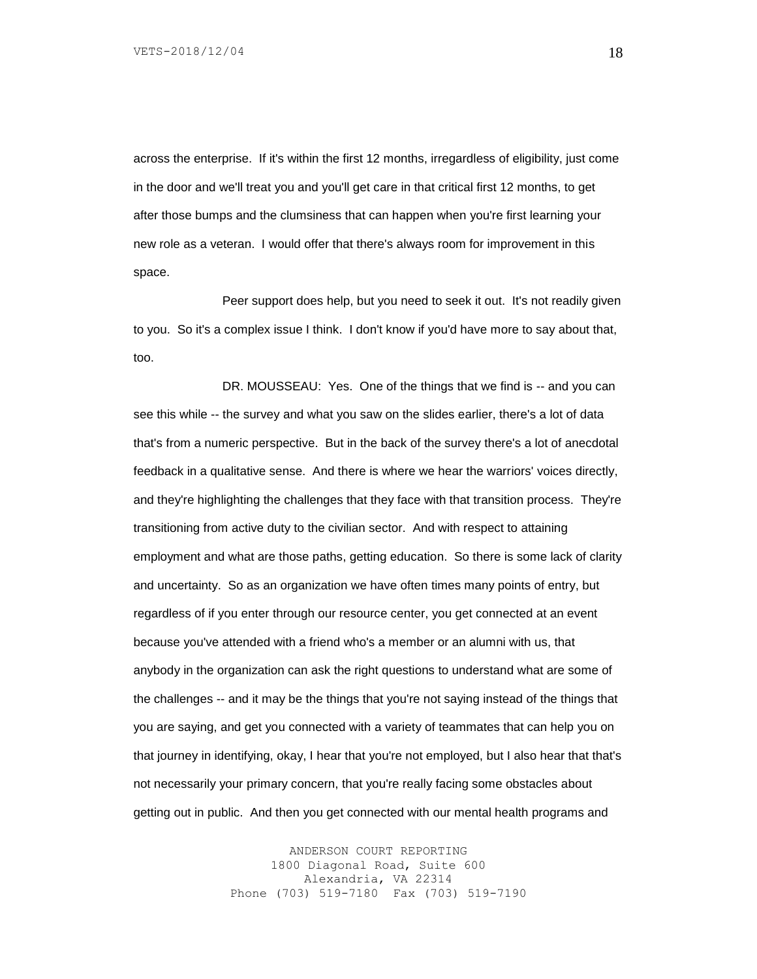across the enterprise. If it's within the first 12 months, irregardless of eligibility, just come in the door and we'll treat you and you'll get care in that critical first 12 months, to get after those bumps and the clumsiness that can happen when you're first learning your new role as a veteran. I would offer that there's always room for improvement in this space.

Peer support does help, but you need to seek it out. It's not readily given to you. So it's a complex issue I think. I don't know if you'd have more to say about that, too.

DR. MOUSSEAU: Yes. One of the things that we find is -- and you can see this while -- the survey and what you saw on the slides earlier, there's a lot of data that's from a numeric perspective. But in the back of the survey there's a lot of anecdotal feedback in a qualitative sense. And there is where we hear the warriors' voices directly, and they're highlighting the challenges that they face with that transition process. They're transitioning from active duty to the civilian sector. And with respect to attaining employment and what are those paths, getting education. So there is some lack of clarity and uncertainty. So as an organization we have often times many points of entry, but regardless of if you enter through our resource center, you get connected at an event because you've attended with a friend who's a member or an alumni with us, that anybody in the organization can ask the right questions to understand what are some of the challenges -- and it may be the things that you're not saying instead of the things that you are saying, and get you connected with a variety of teammates that can help you on that journey in identifying, okay, I hear that you're not employed, but I also hear that that's not necessarily your primary concern, that you're really facing some obstacles about getting out in public. And then you get connected with our mental health programs and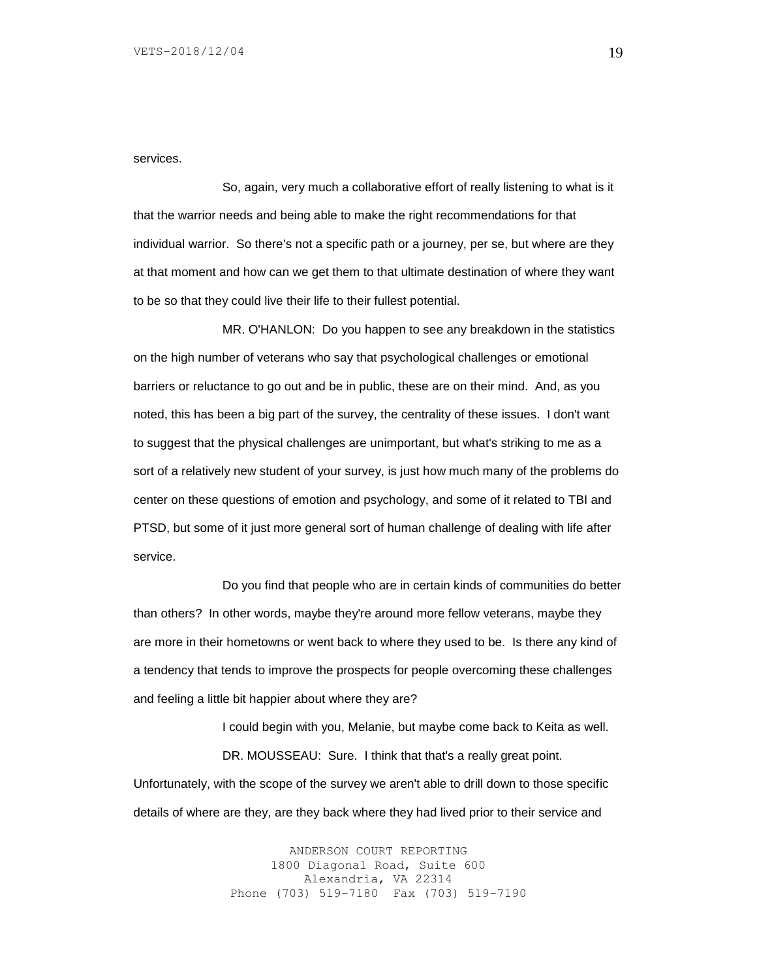services.

So, again, very much a collaborative effort of really listening to what is it that the warrior needs and being able to make the right recommendations for that individual warrior. So there's not a specific path or a journey, per se, but where are they at that moment and how can we get them to that ultimate destination of where they want to be so that they could live their life to their fullest potential.

MR. O'HANLON: Do you happen to see any breakdown in the statistics on the high number of veterans who say that psychological challenges or emotional barriers or reluctance to go out and be in public, these are on their mind. And, as you noted, this has been a big part of the survey, the centrality of these issues. I don't want to suggest that the physical challenges are unimportant, but what's striking to me as a sort of a relatively new student of your survey, is just how much many of the problems do center on these questions of emotion and psychology, and some of it related to TBI and PTSD, but some of it just more general sort of human challenge of dealing with life after service.

Do you find that people who are in certain kinds of communities do better than others? In other words, maybe they're around more fellow veterans, maybe they are more in their hometowns or went back to where they used to be. Is there any kind of a tendency that tends to improve the prospects for people overcoming these challenges and feeling a little bit happier about where they are?

I could begin with you, Melanie, but maybe come back to Keita as well. DR. MOUSSEAU: Sure. I think that that's a really great point. Unfortunately, with the scope of the survey we aren't able to drill down to those specific

details of where are they, are they back where they had lived prior to their service and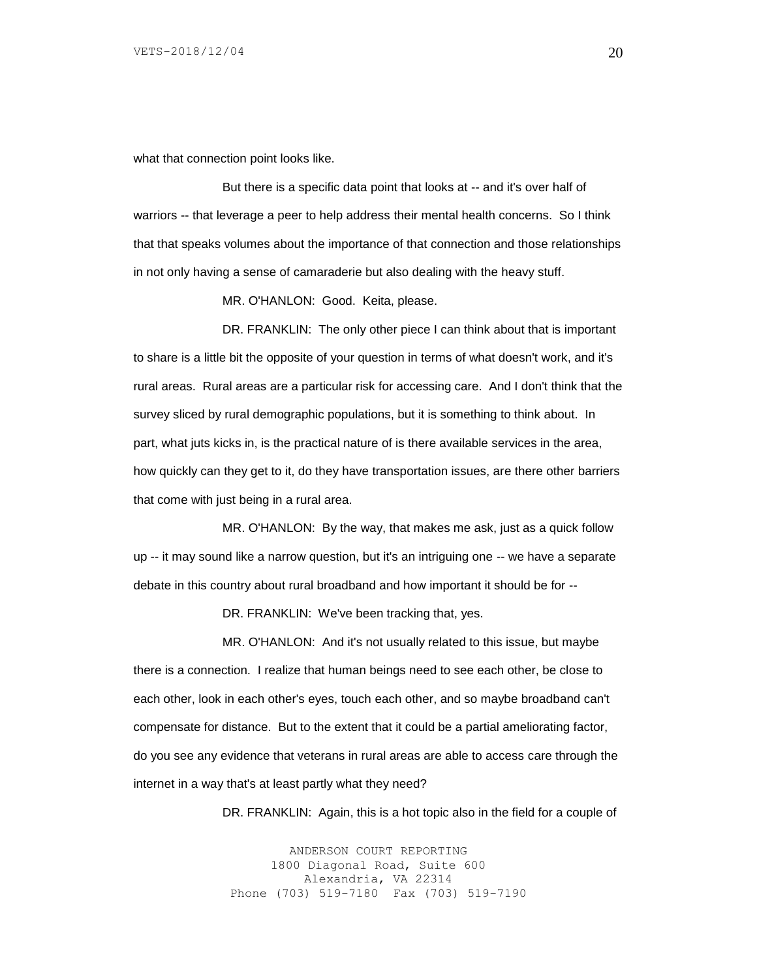what that connection point looks like.

But there is a specific data point that looks at -- and it's over half of warriors -- that leverage a peer to help address their mental health concerns. So I think that that speaks volumes about the importance of that connection and those relationships in not only having a sense of camaraderie but also dealing with the heavy stuff.

MR. O'HANLON: Good. Keita, please.

DR. FRANKLIN: The only other piece I can think about that is important to share is a little bit the opposite of your question in terms of what doesn't work, and it's rural areas. Rural areas are a particular risk for accessing care. And I don't think that the survey sliced by rural demographic populations, but it is something to think about. In part, what juts kicks in, is the practical nature of is there available services in the area, how quickly can they get to it, do they have transportation issues, are there other barriers that come with just being in a rural area.

MR. O'HANLON: By the way, that makes me ask, just as a quick follow up -- it may sound like a narrow question, but it's an intriguing one -- we have a separate debate in this country about rural broadband and how important it should be for --

DR. FRANKLIN: We've been tracking that, yes.

MR. O'HANLON: And it's not usually related to this issue, but maybe there is a connection. I realize that human beings need to see each other, be close to each other, look in each other's eyes, touch each other, and so maybe broadband can't compensate for distance. But to the extent that it could be a partial ameliorating factor, do you see any evidence that veterans in rural areas are able to access care through the internet in a way that's at least partly what they need?

DR. FRANKLIN: Again, this is a hot topic also in the field for a couple of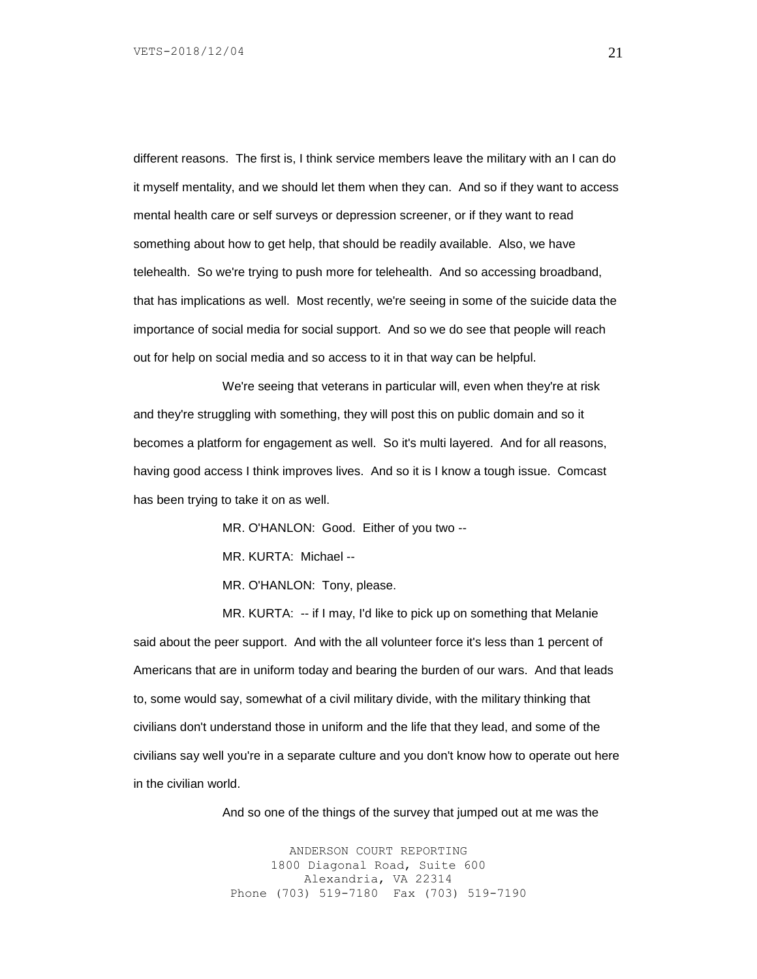different reasons. The first is, I think service members leave the military with an I can do it myself mentality, and we should let them when they can. And so if they want to access mental health care or self surveys or depression screener, or if they want to read something about how to get help, that should be readily available. Also, we have telehealth. So we're trying to push more for telehealth. And so accessing broadband, that has implications as well. Most recently, we're seeing in some of the suicide data the importance of social media for social support. And so we do see that people will reach out for help on social media and so access to it in that way can be helpful.

We're seeing that veterans in particular will, even when they're at risk and they're struggling with something, they will post this on public domain and so it becomes a platform for engagement as well. So it's multi layered. And for all reasons, having good access I think improves lives. And so it is I know a tough issue. Comcast has been trying to take it on as well.

MR. O'HANLON: Good. Either of you two --

MR. KURTA: Michael --

MR. O'HANLON: Tony, please.

MR. KURTA: -- if I may, I'd like to pick up on something that Melanie said about the peer support. And with the all volunteer force it's less than 1 percent of Americans that are in uniform today and bearing the burden of our wars. And that leads to, some would say, somewhat of a civil military divide, with the military thinking that civilians don't understand those in uniform and the life that they lead, and some of the civilians say well you're in a separate culture and you don't know how to operate out here in the civilian world.

And so one of the things of the survey that jumped out at me was the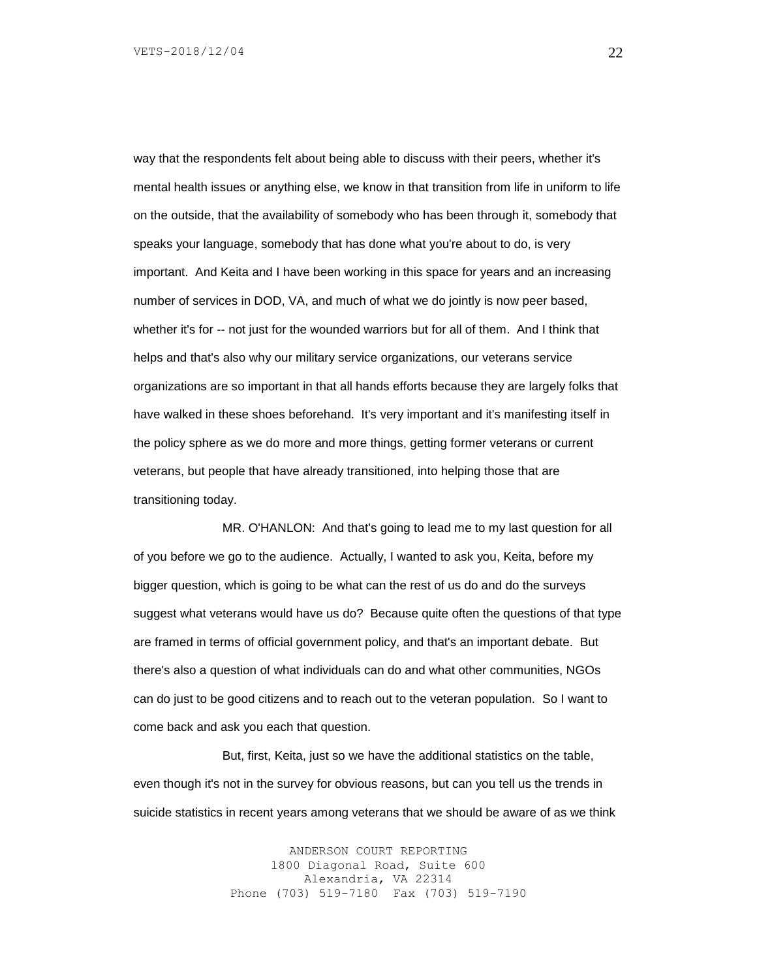way that the respondents felt about being able to discuss with their peers, whether it's mental health issues or anything else, we know in that transition from life in uniform to life on the outside, that the availability of somebody who has been through it, somebody that speaks your language, somebody that has done what you're about to do, is very important. And Keita and I have been working in this space for years and an increasing number of services in DOD, VA, and much of what we do jointly is now peer based, whether it's for -- not just for the wounded warriors but for all of them. And I think that helps and that's also why our military service organizations, our veterans service organizations are so important in that all hands efforts because they are largely folks that have walked in these shoes beforehand. It's very important and it's manifesting itself in the policy sphere as we do more and more things, getting former veterans or current veterans, but people that have already transitioned, into helping those that are transitioning today.

MR. O'HANLON: And that's going to lead me to my last question for all of you before we go to the audience. Actually, I wanted to ask you, Keita, before my bigger question, which is going to be what can the rest of us do and do the surveys suggest what veterans would have us do? Because quite often the questions of that type are framed in terms of official government policy, and that's an important debate. But there's also a question of what individuals can do and what other communities, NGOs can do just to be good citizens and to reach out to the veteran population. So I want to come back and ask you each that question.

But, first, Keita, just so we have the additional statistics on the table, even though it's not in the survey for obvious reasons, but can you tell us the trends in suicide statistics in recent years among veterans that we should be aware of as we think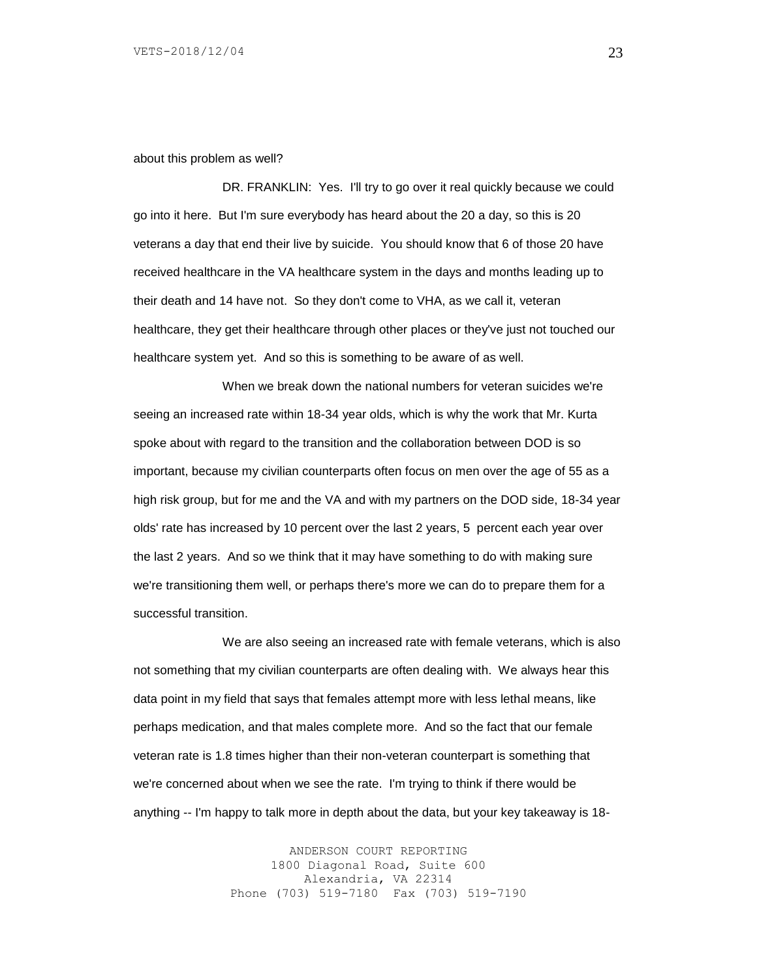about this problem as well?

DR. FRANKLIN: Yes. I'll try to go over it real quickly because we could go into it here. But I'm sure everybody has heard about the 20 a day, so this is 20 veterans a day that end their live by suicide. You should know that 6 of those 20 have received healthcare in the VA healthcare system in the days and months leading up to their death and 14 have not. So they don't come to VHA, as we call it, veteran healthcare, they get their healthcare through other places or they've just not touched our healthcare system yet. And so this is something to be aware of as well.

When we break down the national numbers for veteran suicides we're seeing an increased rate within 18-34 year olds, which is why the work that Mr. Kurta spoke about with regard to the transition and the collaboration between DOD is so important, because my civilian counterparts often focus on men over the age of 55 as a high risk group, but for me and the VA and with my partners on the DOD side, 18-34 year olds' rate has increased by 10 percent over the last 2 years, 5 percent each year over the last 2 years. And so we think that it may have something to do with making sure we're transitioning them well, or perhaps there's more we can do to prepare them for a successful transition.

We are also seeing an increased rate with female veterans, which is also not something that my civilian counterparts are often dealing with. We always hear this data point in my field that says that females attempt more with less lethal means, like perhaps medication, and that males complete more. And so the fact that our female veteran rate is 1.8 times higher than their non-veteran counterpart is something that we're concerned about when we see the rate. I'm trying to think if there would be anything -- I'm happy to talk more in depth about the data, but your key takeaway is 18-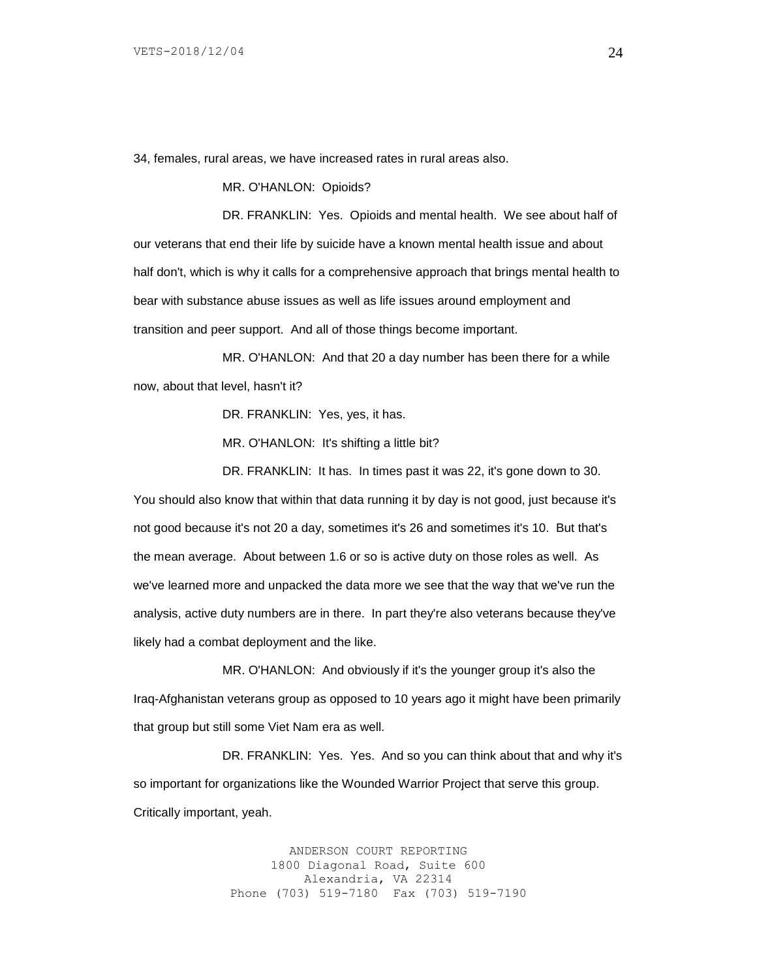34, females, rural areas, we have increased rates in rural areas also.

MR. O'HANLON: Opioids?

DR. FRANKLIN: Yes. Opioids and mental health. We see about half of our veterans that end their life by suicide have a known mental health issue and about half don't, which is why it calls for a comprehensive approach that brings mental health to bear with substance abuse issues as well as life issues around employment and transition and peer support. And all of those things become important.

MR. O'HANLON: And that 20 a day number has been there for a while now, about that level, hasn't it?

DR. FRANKLIN: Yes, yes, it has.

MR. O'HANLON: It's shifting a little bit?

DR. FRANKLIN: It has. In times past it was 22, it's gone down to 30.

You should also know that within that data running it by day is not good, just because it's not good because it's not 20 a day, sometimes it's 26 and sometimes it's 10. But that's the mean average. About between 1.6 or so is active duty on those roles as well. As we've learned more and unpacked the data more we see that the way that we've run the analysis, active duty numbers are in there. In part they're also veterans because they've likely had a combat deployment and the like.

MR. O'HANLON: And obviously if it's the younger group it's also the Iraq-Afghanistan veterans group as opposed to 10 years ago it might have been primarily that group but still some Viet Nam era as well.

DR. FRANKLIN: Yes. Yes. And so you can think about that and why it's so important for organizations like the Wounded Warrior Project that serve this group. Critically important, yeah.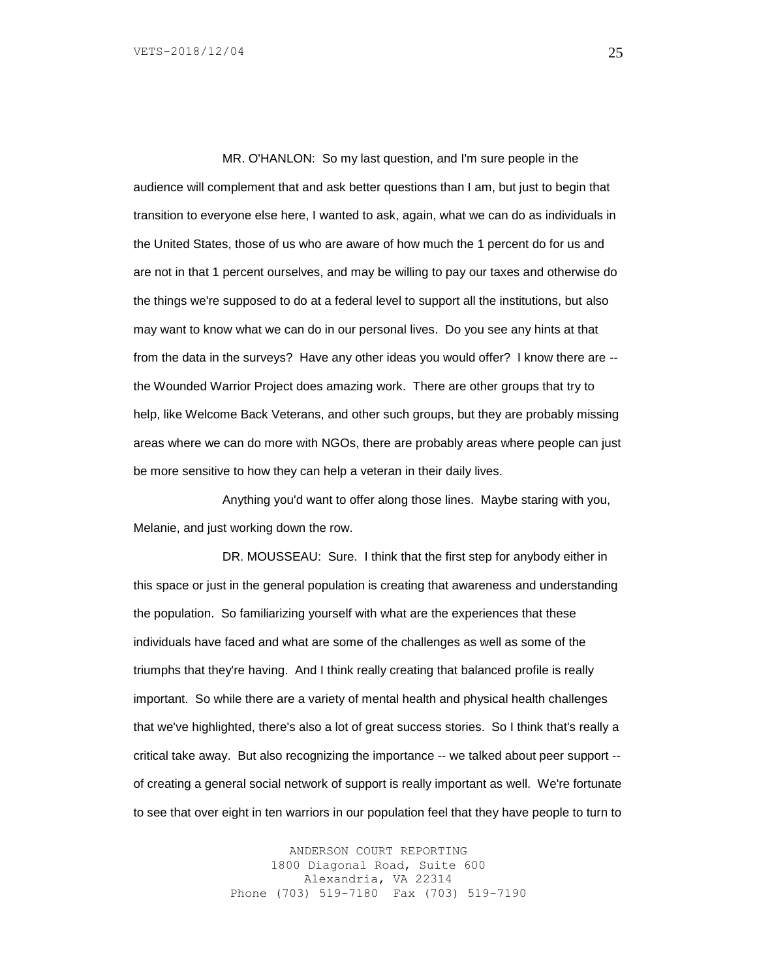MR. O'HANLON: So my last question, and I'm sure people in the audience will complement that and ask better questions than I am, but just to begin that transition to everyone else here, I wanted to ask, again, what we can do as individuals in the United States, those of us who are aware of how much the 1 percent do for us and are not in that 1 percent ourselves, and may be willing to pay our taxes and otherwise do the things we're supposed to do at a federal level to support all the institutions, but also may want to know what we can do in our personal lives. Do you see any hints at that from the data in the surveys? Have any other ideas you would offer? I know there are - the Wounded Warrior Project does amazing work. There are other groups that try to help, like Welcome Back Veterans, and other such groups, but they are probably missing areas where we can do more with NGOs, there are probably areas where people can just be more sensitive to how they can help a veteran in their daily lives.

Anything you'd want to offer along those lines. Maybe staring with you, Melanie, and just working down the row.

DR. MOUSSEAU: Sure. I think that the first step for anybody either in this space or just in the general population is creating that awareness and understanding the population. So familiarizing yourself with what are the experiences that these individuals have faced and what are some of the challenges as well as some of the triumphs that they're having. And I think really creating that balanced profile is really important. So while there are a variety of mental health and physical health challenges that we've highlighted, there's also a lot of great success stories. So I think that's really a critical take away. But also recognizing the importance -- we talked about peer support - of creating a general social network of support is really important as well. We're fortunate to see that over eight in ten warriors in our population feel that they have people to turn to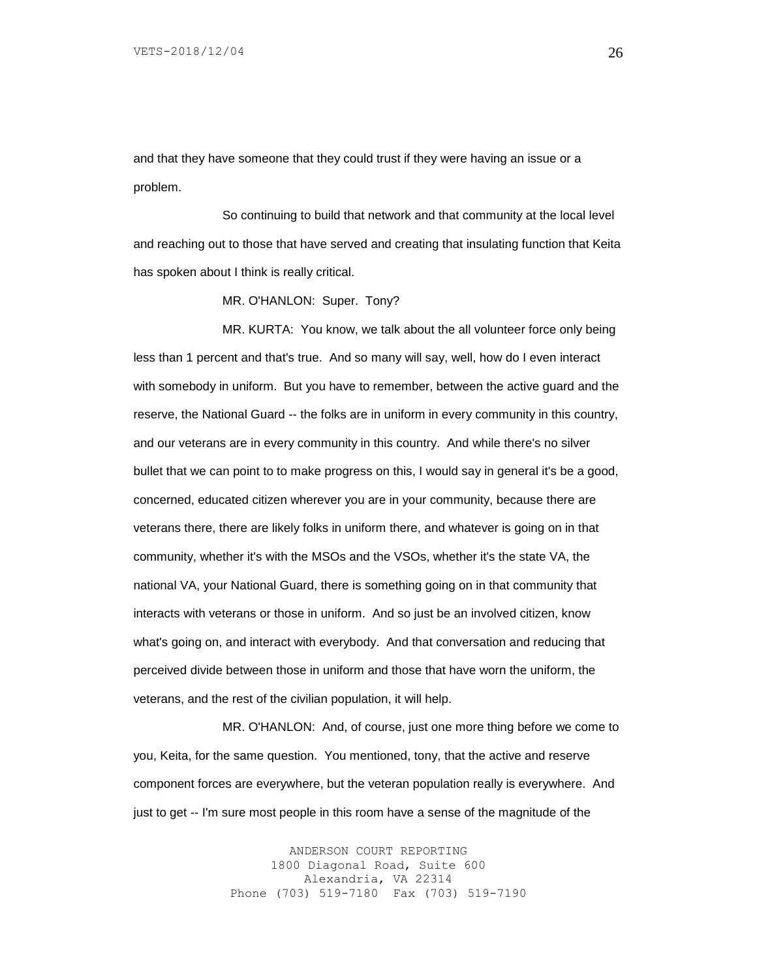and that they have someone that they could trust if they were having an issue or a problem.

So continuing to build that network and that community at the local level and reaching out to those that have served and creating that insulating function that Keita has spoken about I think is really critical.

MR. O'HANLON: Super. Tony?

MR. KURTA: You know, we talk about the all volunteer force only being less than 1 percent and that's true. And so many will say, well, how do I even interact with somebody in uniform. But you have to remember, between the active guard and the reserve, the National Guard -- the folks are in uniform in every community in this country, and our veterans are in every community in this country. And while there's no silver bullet that we can point to to make progress on this, I would say in general it's be a good, concerned, educated citizen wherever you are in your community, because there are veterans there, there are likely folks in uniform there, and whatever is going on in that community, whether it's with the MSOs and the VSOs, whether it's the state VA, the national VA, your National Guard, there is something going on in that community that interacts with veterans or those in uniform. And so just be an involved citizen, know what's going on, and interact with everybody. And that conversation and reducing that perceived divide between those in uniform and those that have worn the uniform, the veterans, and the rest of the civilian population, it will help.

MR. O'HANLON: And, of course, just one more thing before we come to you, Keita, for the same question. You mentioned, tony, that the active and reserve component forces are everywhere, but the veteran population really is everywhere. And just to get -- I'm sure most people in this room have a sense of the magnitude of the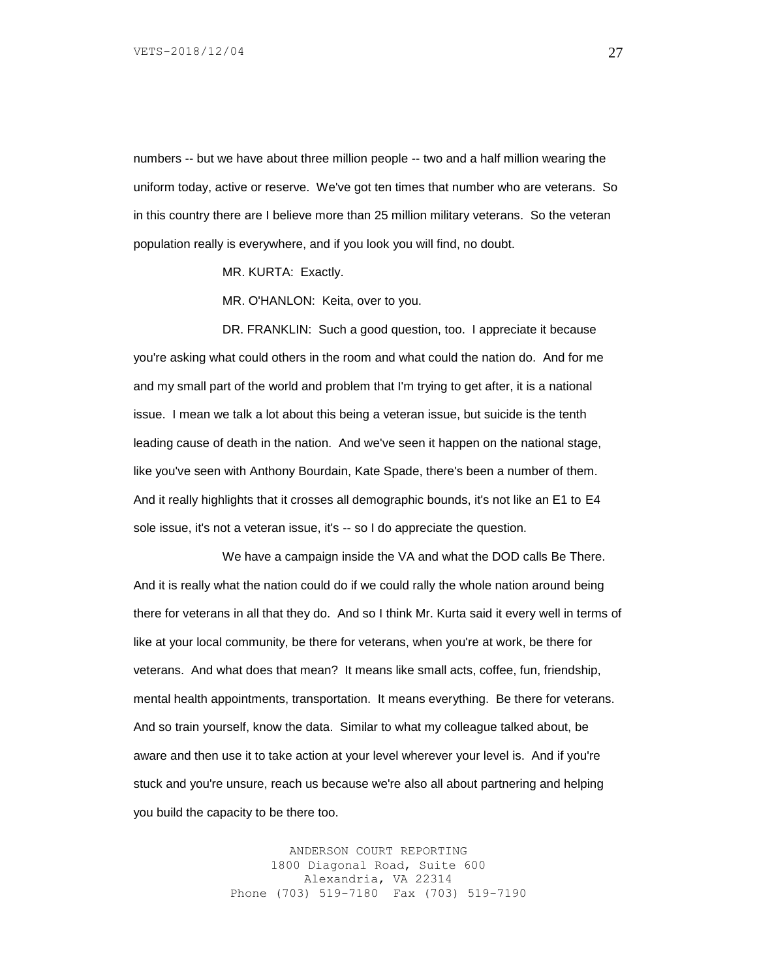numbers -- but we have about three million people -- two and a half million wearing the uniform today, active or reserve. We've got ten times that number who are veterans. So in this country there are I believe more than 25 million military veterans. So the veteran population really is everywhere, and if you look you will find, no doubt.

MR. KURTA: Exactly.

MR. O'HANLON: Keita, over to you.

DR. FRANKLIN: Such a good question, too. I appreciate it because you're asking what could others in the room and what could the nation do. And for me and my small part of the world and problem that I'm trying to get after, it is a national issue. I mean we talk a lot about this being a veteran issue, but suicide is the tenth leading cause of death in the nation. And we've seen it happen on the national stage, like you've seen with Anthony Bourdain, Kate Spade, there's been a number of them. And it really highlights that it crosses all demographic bounds, it's not like an E1 to E4 sole issue, it's not a veteran issue, it's -- so I do appreciate the question.

We have a campaign inside the VA and what the DOD calls Be There. And it is really what the nation could do if we could rally the whole nation around being there for veterans in all that they do. And so I think Mr. Kurta said it every well in terms of like at your local community, be there for veterans, when you're at work, be there for veterans. And what does that mean? It means like small acts, coffee, fun, friendship, mental health appointments, transportation. It means everything. Be there for veterans. And so train yourself, know the data. Similar to what my colleague talked about, be aware and then use it to take action at your level wherever your level is. And if you're stuck and you're unsure, reach us because we're also all about partnering and helping you build the capacity to be there too.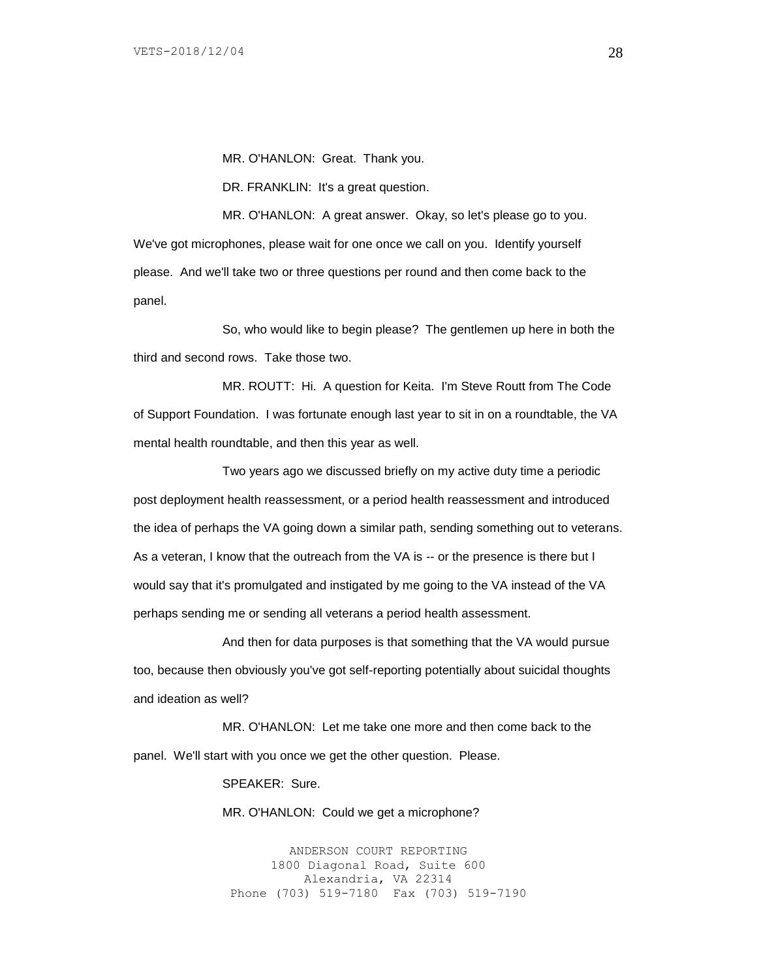MR. O'HANLON: Great. Thank you.

DR. FRANKLIN: It's a great question.

MR. O'HANLON: A great answer. Okay, so let's please go to you. We've got microphones, please wait for one once we call on you. Identify yourself please. And we'll take two or three questions per round and then come back to the panel.

So, who would like to begin please? The gentlemen up here in both the third and second rows. Take those two.

MR. ROUTT: Hi. A question for Keita. I'm Steve Routt from The Code of Support Foundation. I was fortunate enough last year to sit in on a roundtable, the VA mental health roundtable, and then this year as well.

Two years ago we discussed briefly on my active duty time a periodic post deployment health reassessment, or a period health reassessment and introduced the idea of perhaps the VA going down a similar path, sending something out to veterans. As a veteran, I know that the outreach from the VA is -- or the presence is there but I would say that it's promulgated and instigated by me going to the VA instead of the VA perhaps sending me or sending all veterans a period health assessment.

And then for data purposes is that something that the VA would pursue too, because then obviously you've got self-reporting potentially about suicidal thoughts and ideation as well?

MR. O'HANLON: Let me take one more and then come back to the panel. We'll start with you once we get the other question. Please.

SPEAKER: Sure.

MR. O'HANLON: Could we get a microphone?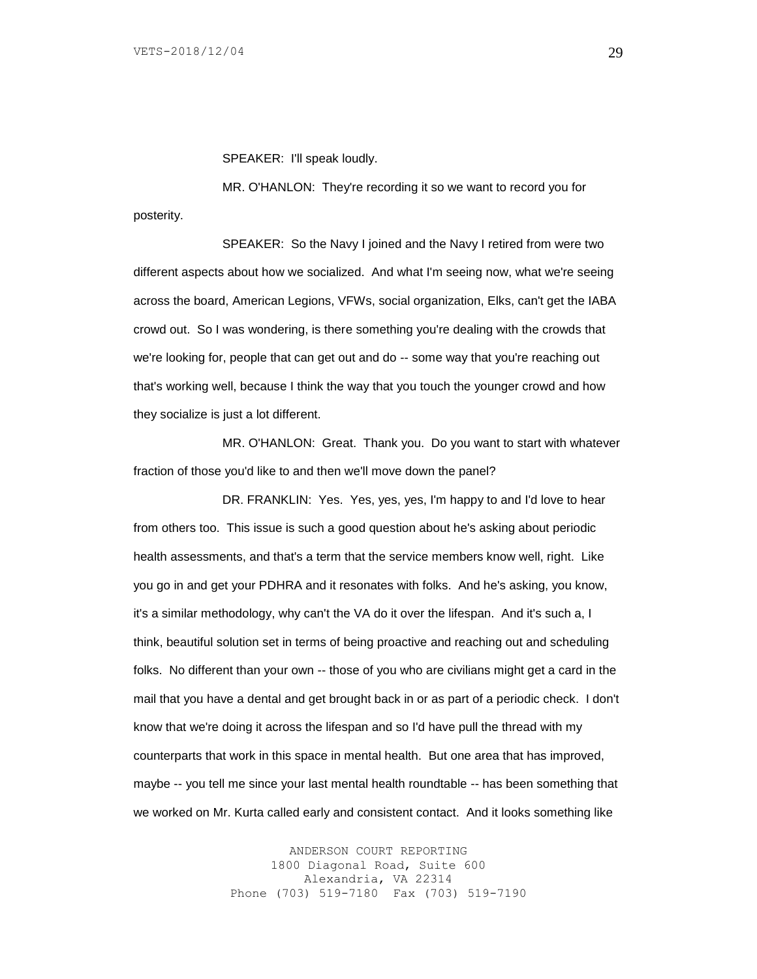SPEAKER: I'll speak loudly.

MR. O'HANLON: They're recording it so we want to record you for posterity.

SPEAKER: So the Navy I joined and the Navy I retired from were two different aspects about how we socialized. And what I'm seeing now, what we're seeing across the board, American Legions, VFWs, social organization, Elks, can't get the IABA crowd out. So I was wondering, is there something you're dealing with the crowds that we're looking for, people that can get out and do -- some way that you're reaching out that's working well, because I think the way that you touch the younger crowd and how they socialize is just a lot different.

MR. O'HANLON: Great. Thank you. Do you want to start with whatever fraction of those you'd like to and then we'll move down the panel?

DR. FRANKLIN: Yes. Yes, yes, yes, I'm happy to and I'd love to hear from others too. This issue is such a good question about he's asking about periodic health assessments, and that's a term that the service members know well, right. Like you go in and get your PDHRA and it resonates with folks. And he's asking, you know, it's a similar methodology, why can't the VA do it over the lifespan. And it's such a, I think, beautiful solution set in terms of being proactive and reaching out and scheduling folks. No different than your own -- those of you who are civilians might get a card in the mail that you have a dental and get brought back in or as part of a periodic check. I don't know that we're doing it across the lifespan and so I'd have pull the thread with my counterparts that work in this space in mental health. But one area that has improved, maybe -- you tell me since your last mental health roundtable -- has been something that we worked on Mr. Kurta called early and consistent contact. And it looks something like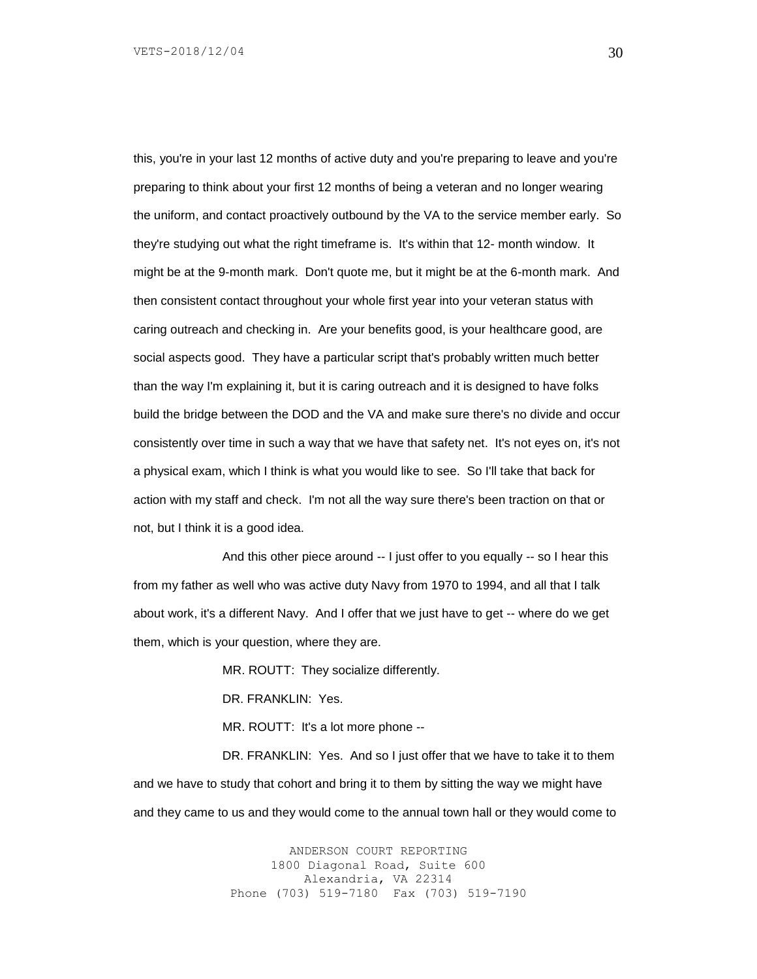this, you're in your last 12 months of active duty and you're preparing to leave and you're preparing to think about your first 12 months of being a veteran and no longer wearing the uniform, and contact proactively outbound by the VA to the service member early. So they're studying out what the right timeframe is. It's within that 12- month window. It might be at the 9-month mark. Don't quote me, but it might be at the 6-month mark. And then consistent contact throughout your whole first year into your veteran status with caring outreach and checking in. Are your benefits good, is your healthcare good, are social aspects good. They have a particular script that's probably written much better than the way I'm explaining it, but it is caring outreach and it is designed to have folks build the bridge between the DOD and the VA and make sure there's no divide and occur consistently over time in such a way that we have that safety net. It's not eyes on, it's not a physical exam, which I think is what you would like to see. So I'll take that back for action with my staff and check. I'm not all the way sure there's been traction on that or not, but I think it is a good idea.

And this other piece around -- I just offer to you equally -- so I hear this from my father as well who was active duty Navy from 1970 to 1994, and all that I talk about work, it's a different Navy. And I offer that we just have to get -- where do we get them, which is your question, where they are.

MR. ROUTT: They socialize differently.

DR. FRANKLIN: Yes.

MR. ROUTT: It's a lot more phone --

DR. FRANKLIN: Yes. And so I just offer that we have to take it to them and we have to study that cohort and bring it to them by sitting the way we might have and they came to us and they would come to the annual town hall or they would come to

> ANDERSON COURT REPORTING 1800 Diagonal Road, Suite 600 Alexandria, VA 22314 Phone (703) 519-7180 Fax (703) 519-7190

30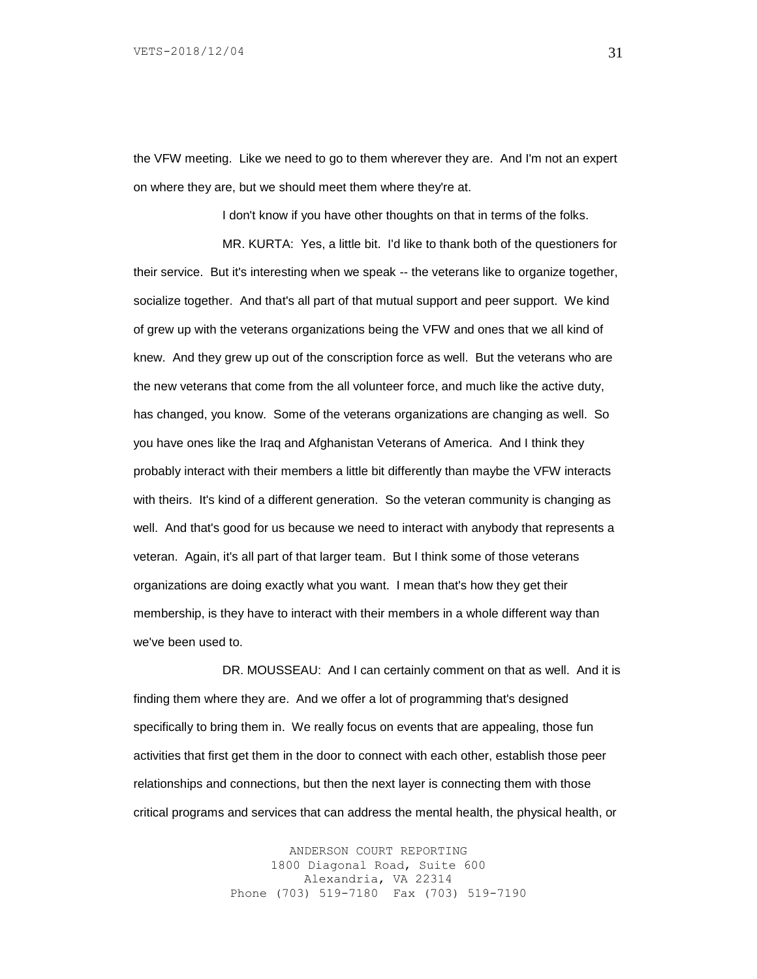the VFW meeting. Like we need to go to them wherever they are. And I'm not an expert on where they are, but we should meet them where they're at.

I don't know if you have other thoughts on that in terms of the folks.

MR. KURTA: Yes, a little bit. I'd like to thank both of the questioners for their service. But it's interesting when we speak -- the veterans like to organize together, socialize together. And that's all part of that mutual support and peer support. We kind of grew up with the veterans organizations being the VFW and ones that we all kind of knew. And they grew up out of the conscription force as well. But the veterans who are the new veterans that come from the all volunteer force, and much like the active duty, has changed, you know. Some of the veterans organizations are changing as well. So you have ones like the Iraq and Afghanistan Veterans of America. And I think they probably interact with their members a little bit differently than maybe the VFW interacts with theirs. It's kind of a different generation. So the veteran community is changing as well. And that's good for us because we need to interact with anybody that represents a veteran. Again, it's all part of that larger team. But I think some of those veterans organizations are doing exactly what you want. I mean that's how they get their membership, is they have to interact with their members in a whole different way than we've been used to.

DR. MOUSSEAU: And I can certainly comment on that as well. And it is finding them where they are. And we offer a lot of programming that's designed specifically to bring them in. We really focus on events that are appealing, those fun activities that first get them in the door to connect with each other, establish those peer relationships and connections, but then the next layer is connecting them with those critical programs and services that can address the mental health, the physical health, or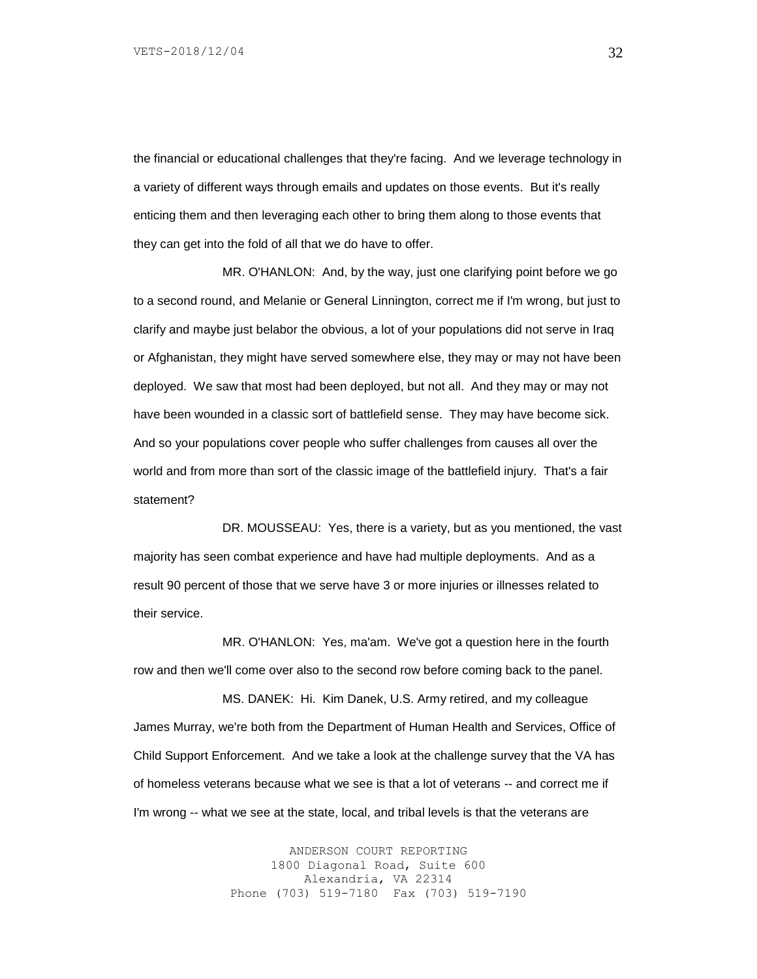the financial or educational challenges that they're facing. And we leverage technology in a variety of different ways through emails and updates on those events. But it's really enticing them and then leveraging each other to bring them along to those events that they can get into the fold of all that we do have to offer.

MR. O'HANLON: And, by the way, just one clarifying point before we go to a second round, and Melanie or General Linnington, correct me if I'm wrong, but just to clarify and maybe just belabor the obvious, a lot of your populations did not serve in Iraq or Afghanistan, they might have served somewhere else, they may or may not have been deployed. We saw that most had been deployed, but not all. And they may or may not have been wounded in a classic sort of battlefield sense. They may have become sick. And so your populations cover people who suffer challenges from causes all over the world and from more than sort of the classic image of the battlefield injury. That's a fair statement?

DR. MOUSSEAU: Yes, there is a variety, but as you mentioned, the vast majority has seen combat experience and have had multiple deployments. And as a result 90 percent of those that we serve have 3 or more injuries or illnesses related to their service.

MR. O'HANLON: Yes, ma'am. We've got a question here in the fourth row and then we'll come over also to the second row before coming back to the panel.

MS. DANEK: Hi. Kim Danek, U.S. Army retired, and my colleague James Murray, we're both from the Department of Human Health and Services, Office of Child Support Enforcement. And we take a look at the challenge survey that the VA has of homeless veterans because what we see is that a lot of veterans -- and correct me if I'm wrong -- what we see at the state, local, and tribal levels is that the veterans are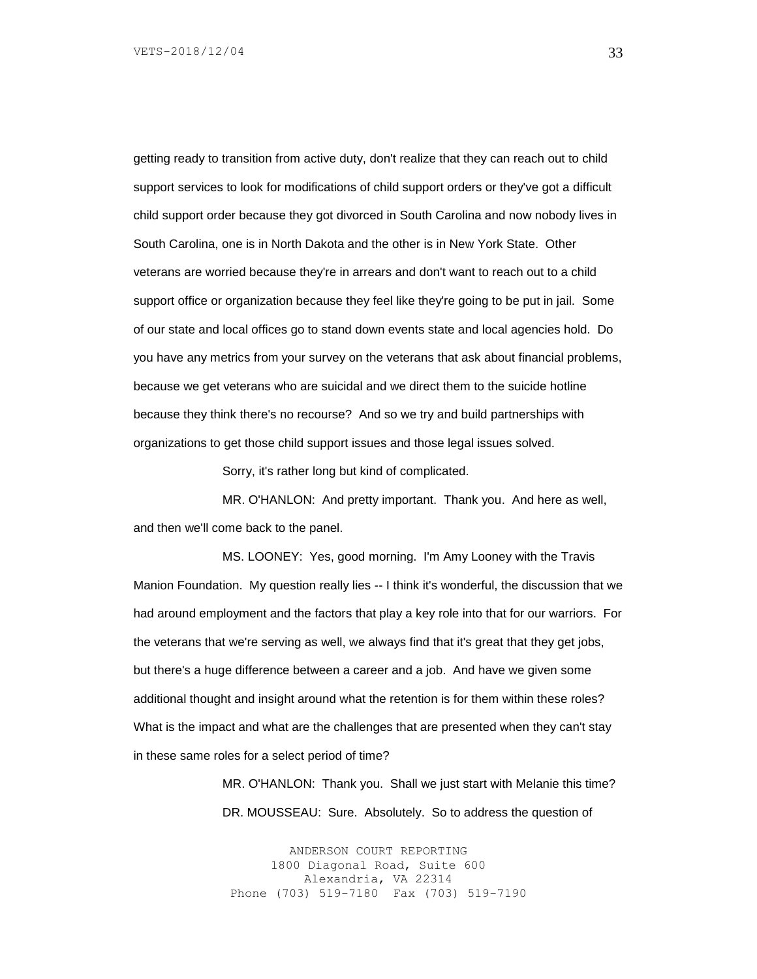getting ready to transition from active duty, don't realize that they can reach out to child support services to look for modifications of child support orders or they've got a difficult child support order because they got divorced in South Carolina and now nobody lives in South Carolina, one is in North Dakota and the other is in New York State. Other veterans are worried because they're in arrears and don't want to reach out to a child support office or organization because they feel like they're going to be put in jail. Some of our state and local offices go to stand down events state and local agencies hold. Do you have any metrics from your survey on the veterans that ask about financial problems, because we get veterans who are suicidal and we direct them to the suicide hotline because they think there's no recourse? And so we try and build partnerships with organizations to get those child support issues and those legal issues solved.

Sorry, it's rather long but kind of complicated.

MR. O'HANLON: And pretty important. Thank you. And here as well, and then we'll come back to the panel.

MS. LOONEY: Yes, good morning. I'm Amy Looney with the Travis Manion Foundation. My question really lies -- I think it's wonderful, the discussion that we had around employment and the factors that play a key role into that for our warriors. For the veterans that we're serving as well, we always find that it's great that they get jobs, but there's a huge difference between a career and a job. And have we given some additional thought and insight around what the retention is for them within these roles? What is the impact and what are the challenges that are presented when they can't stay in these same roles for a select period of time?

> MR. O'HANLON: Thank you. Shall we just start with Melanie this time? DR. MOUSSEAU: Sure. Absolutely. So to address the question of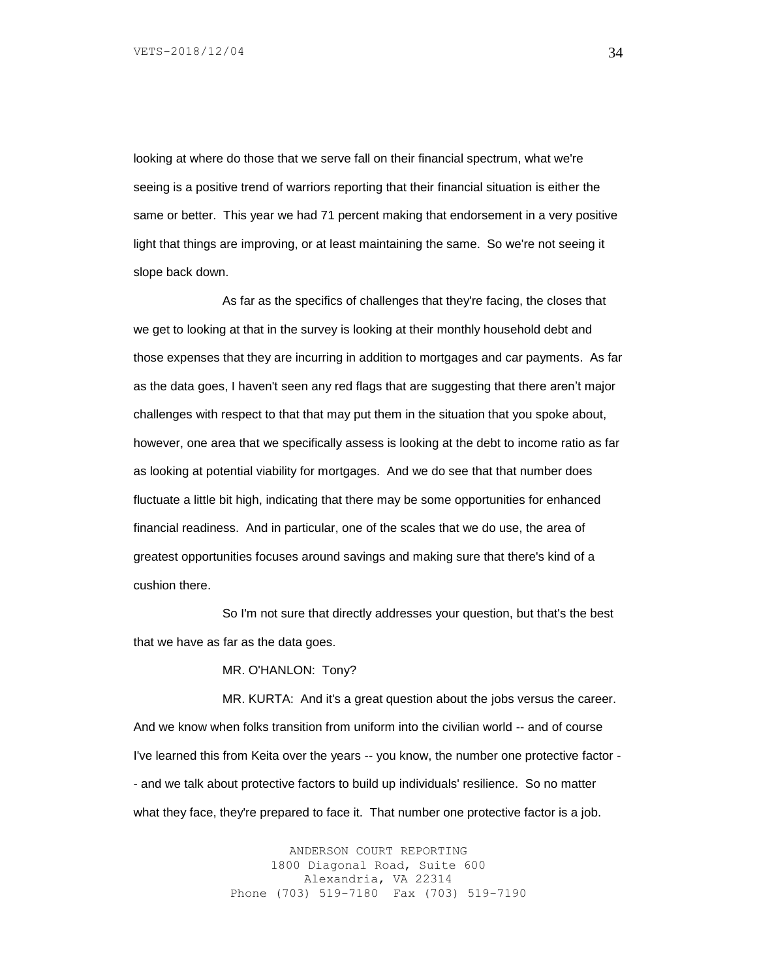looking at where do those that we serve fall on their financial spectrum, what we're seeing is a positive trend of warriors reporting that their financial situation is either the same or better. This year we had 71 percent making that endorsement in a very positive light that things are improving, or at least maintaining the same. So we're not seeing it slope back down.

As far as the specifics of challenges that they're facing, the closes that we get to looking at that in the survey is looking at their monthly household debt and those expenses that they are incurring in addition to mortgages and car payments. As far as the data goes, I haven't seen any red flags that are suggesting that there aren't major challenges with respect to that that may put them in the situation that you spoke about, however, one area that we specifically assess is looking at the debt to income ratio as far as looking at potential viability for mortgages. And we do see that that number does fluctuate a little bit high, indicating that there may be some opportunities for enhanced financial readiness. And in particular, one of the scales that we do use, the area of greatest opportunities focuses around savings and making sure that there's kind of a cushion there.

So I'm not sure that directly addresses your question, but that's the best that we have as far as the data goes.

MR. O'HANLON: Tony?

MR. KURTA: And it's a great question about the jobs versus the career. And we know when folks transition from uniform into the civilian world -- and of course I've learned this from Keita over the years -- you know, the number one protective factor - - and we talk about protective factors to build up individuals' resilience. So no matter what they face, they're prepared to face it. That number one protective factor is a job.

> ANDERSON COURT REPORTING 1800 Diagonal Road, Suite 600 Alexandria, VA 22314 Phone (703) 519-7180 Fax (703) 519-7190

34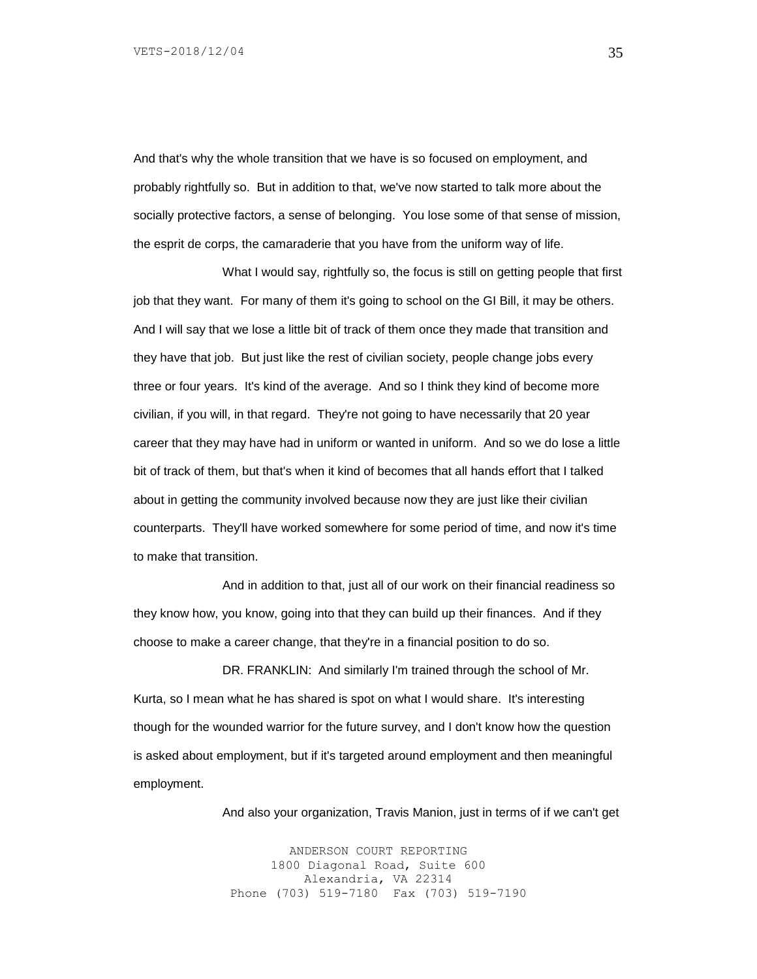And that's why the whole transition that we have is so focused on employment, and probably rightfully so. But in addition to that, we've now started to talk more about the socially protective factors, a sense of belonging. You lose some of that sense of mission, the esprit de corps, the camaraderie that you have from the uniform way of life.

What I would say, rightfully so, the focus is still on getting people that first job that they want. For many of them it's going to school on the GI Bill, it may be others. And I will say that we lose a little bit of track of them once they made that transition and they have that job. But just like the rest of civilian society, people change jobs every three or four years. It's kind of the average. And so I think they kind of become more civilian, if you will, in that regard. They're not going to have necessarily that 20 year career that they may have had in uniform or wanted in uniform. And so we do lose a little bit of track of them, but that's when it kind of becomes that all hands effort that I talked about in getting the community involved because now they are just like their civilian counterparts. They'll have worked somewhere for some period of time, and now it's time to make that transition.

And in addition to that, just all of our work on their financial readiness so they know how, you know, going into that they can build up their finances. And if they choose to make a career change, that they're in a financial position to do so.

DR. FRANKLIN: And similarly I'm trained through the school of Mr. Kurta, so I mean what he has shared is spot on what I would share. It's interesting though for the wounded warrior for the future survey, and I don't know how the question is asked about employment, but if it's targeted around employment and then meaningful employment.

And also your organization, Travis Manion, just in terms of if we can't get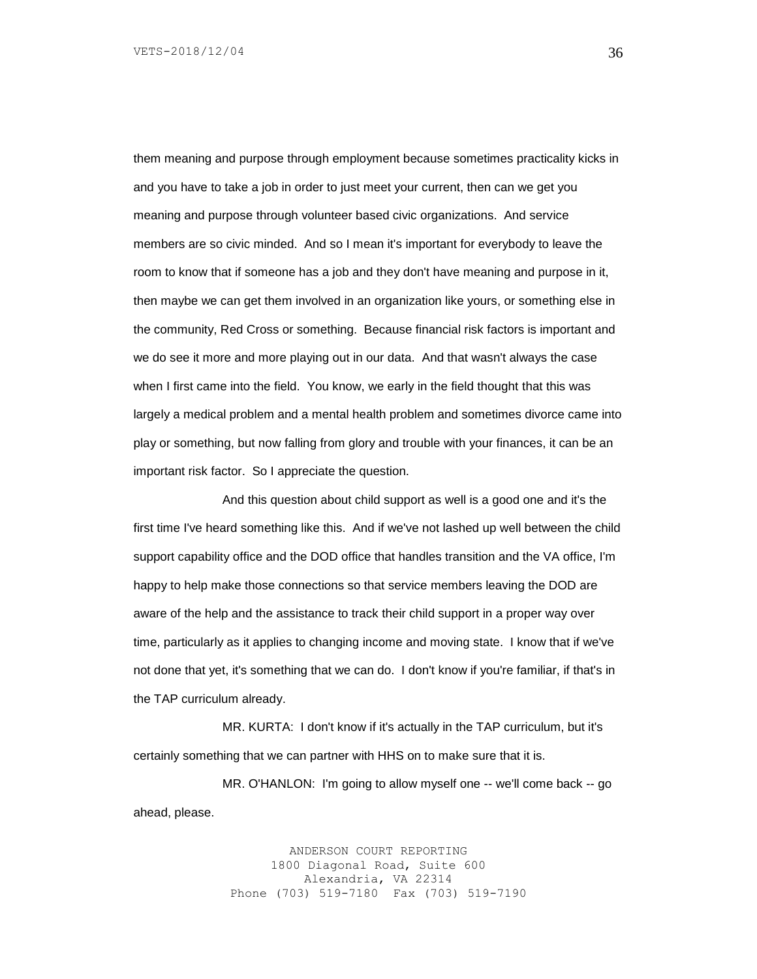them meaning and purpose through employment because sometimes practicality kicks in and you have to take a job in order to just meet your current, then can we get you meaning and purpose through volunteer based civic organizations. And service members are so civic minded. And so I mean it's important for everybody to leave the room to know that if someone has a job and they don't have meaning and purpose in it, then maybe we can get them involved in an organization like yours, or something else in the community, Red Cross or something. Because financial risk factors is important and we do see it more and more playing out in our data. And that wasn't always the case when I first came into the field. You know, we early in the field thought that this was largely a medical problem and a mental health problem and sometimes divorce came into play or something, but now falling from glory and trouble with your finances, it can be an important risk factor. So I appreciate the question.

And this question about child support as well is a good one and it's the first time I've heard something like this. And if we've not lashed up well between the child support capability office and the DOD office that handles transition and the VA office, I'm happy to help make those connections so that service members leaving the DOD are aware of the help and the assistance to track their child support in a proper way over time, particularly as it applies to changing income and moving state. I know that if we've not done that yet, it's something that we can do. I don't know if you're familiar, if that's in the TAP curriculum already.

MR. KURTA: I don't know if it's actually in the TAP curriculum, but it's certainly something that we can partner with HHS on to make sure that it is.

MR. O'HANLON: I'm going to allow myself one -- we'll come back -- go ahead, please.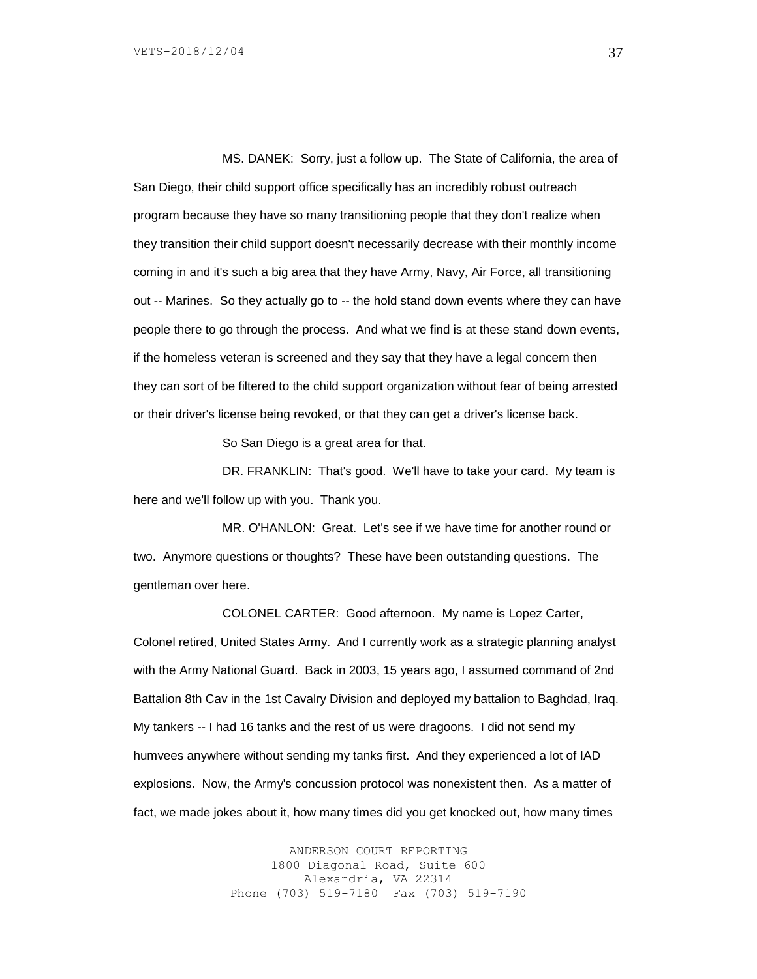MS. DANEK: Sorry, just a follow up. The State of California, the area of San Diego, their child support office specifically has an incredibly robust outreach program because they have so many transitioning people that they don't realize when they transition their child support doesn't necessarily decrease with their monthly income coming in and it's such a big area that they have Army, Navy, Air Force, all transitioning out -- Marines. So they actually go to -- the hold stand down events where they can have people there to go through the process. And what we find is at these stand down events, if the homeless veteran is screened and they say that they have a legal concern then they can sort of be filtered to the child support organization without fear of being arrested or their driver's license being revoked, or that they can get a driver's license back.

So San Diego is a great area for that.

DR. FRANKLIN: That's good. We'll have to take your card. My team is here and we'll follow up with you. Thank you.

MR. O'HANLON: Great. Let's see if we have time for another round or two. Anymore questions or thoughts? These have been outstanding questions. The gentleman over here.

COLONEL CARTER: Good afternoon. My name is Lopez Carter, Colonel retired, United States Army. And I currently work as a strategic planning analyst with the Army National Guard. Back in 2003, 15 years ago, I assumed command of 2nd Battalion 8th Cav in the 1st Cavalry Division and deployed my battalion to Baghdad, Iraq. My tankers -- I had 16 tanks and the rest of us were dragoons. I did not send my humvees anywhere without sending my tanks first. And they experienced a lot of IAD explosions. Now, the Army's concussion protocol was nonexistent then. As a matter of fact, we made jokes about it, how many times did you get knocked out, how many times

> ANDERSON COURT REPORTING 1800 Diagonal Road, Suite 600 Alexandria, VA 22314 Phone (703) 519-7180 Fax (703) 519-7190

37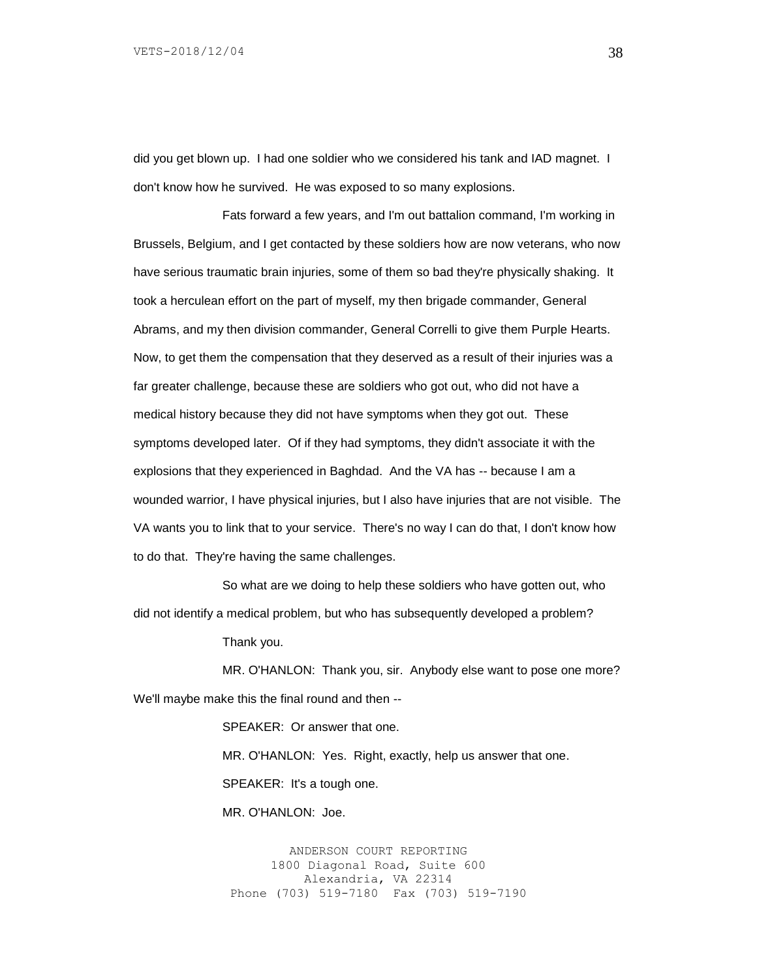did you get blown up. I had one soldier who we considered his tank and IAD magnet. I don't know how he survived. He was exposed to so many explosions.

Fats forward a few years, and I'm out battalion command, I'm working in Brussels, Belgium, and I get contacted by these soldiers how are now veterans, who now have serious traumatic brain injuries, some of them so bad they're physically shaking. It took a herculean effort on the part of myself, my then brigade commander, General Abrams, and my then division commander, General Correlli to give them Purple Hearts. Now, to get them the compensation that they deserved as a result of their injuries was a far greater challenge, because these are soldiers who got out, who did not have a medical history because they did not have symptoms when they got out. These symptoms developed later. Of if they had symptoms, they didn't associate it with the explosions that they experienced in Baghdad. And the VA has -- because I am a wounded warrior, I have physical injuries, but I also have injuries that are not visible. The VA wants you to link that to your service. There's no way I can do that, I don't know how to do that. They're having the same challenges.

So what are we doing to help these soldiers who have gotten out, who did not identify a medical problem, but who has subsequently developed a problem?

Thank you.

MR. O'HANLON: Thank you, sir. Anybody else want to pose one more? We'll maybe make this the final round and then --

> SPEAKER: Or answer that one. MR. O'HANLON: Yes. Right, exactly, help us answer that one. SPEAKER: It's a tough one.

MR. O'HANLON: Joe.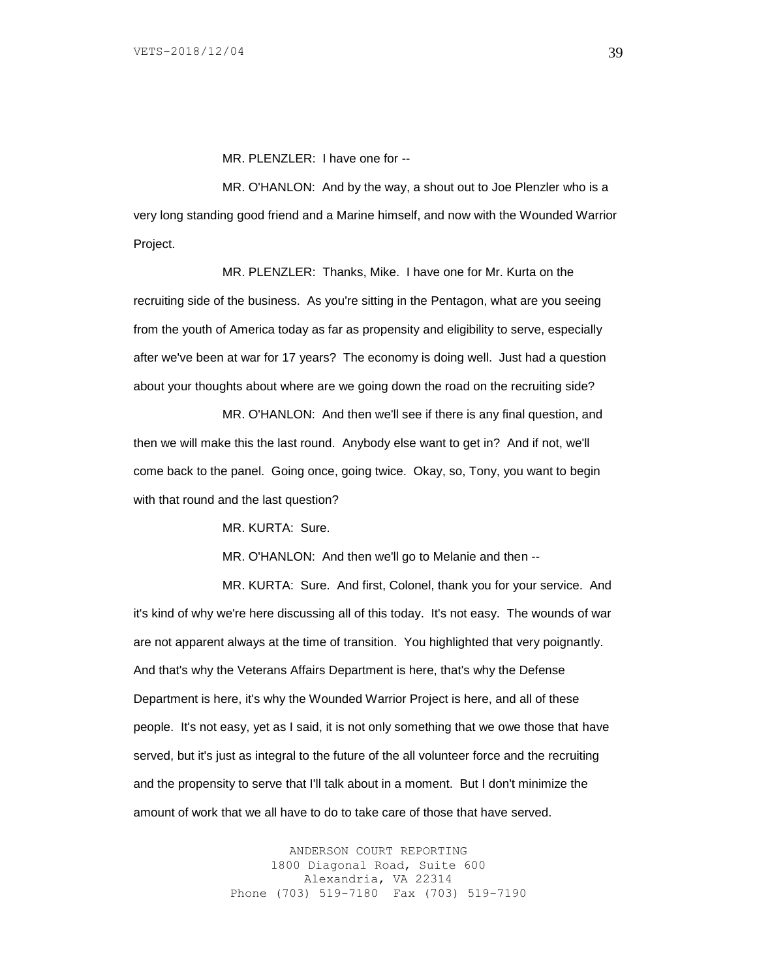MR. PLENZLER: I have one for --

MR. O'HANLON: And by the way, a shout out to Joe Plenzler who is a very long standing good friend and a Marine himself, and now with the Wounded Warrior Project.

MR. PLENZLER: Thanks, Mike. I have one for Mr. Kurta on the recruiting side of the business. As you're sitting in the Pentagon, what are you seeing from the youth of America today as far as propensity and eligibility to serve, especially after we've been at war for 17 years? The economy is doing well. Just had a question about your thoughts about where are we going down the road on the recruiting side?

MR. O'HANLON: And then we'll see if there is any final question, and then we will make this the last round. Anybody else want to get in? And if not, we'll come back to the panel. Going once, going twice. Okay, so, Tony, you want to begin with that round and the last question?

MR. KURTA: Sure.

MR. O'HANLON: And then we'll go to Melanie and then --

MR. KURTA: Sure. And first, Colonel, thank you for your service. And it's kind of why we're here discussing all of this today. It's not easy. The wounds of war are not apparent always at the time of transition. You highlighted that very poignantly. And that's why the Veterans Affairs Department is here, that's why the Defense Department is here, it's why the Wounded Warrior Project is here, and all of these people. It's not easy, yet as I said, it is not only something that we owe those that have served, but it's just as integral to the future of the all volunteer force and the recruiting and the propensity to serve that I'll talk about in a moment. But I don't minimize the amount of work that we all have to do to take care of those that have served.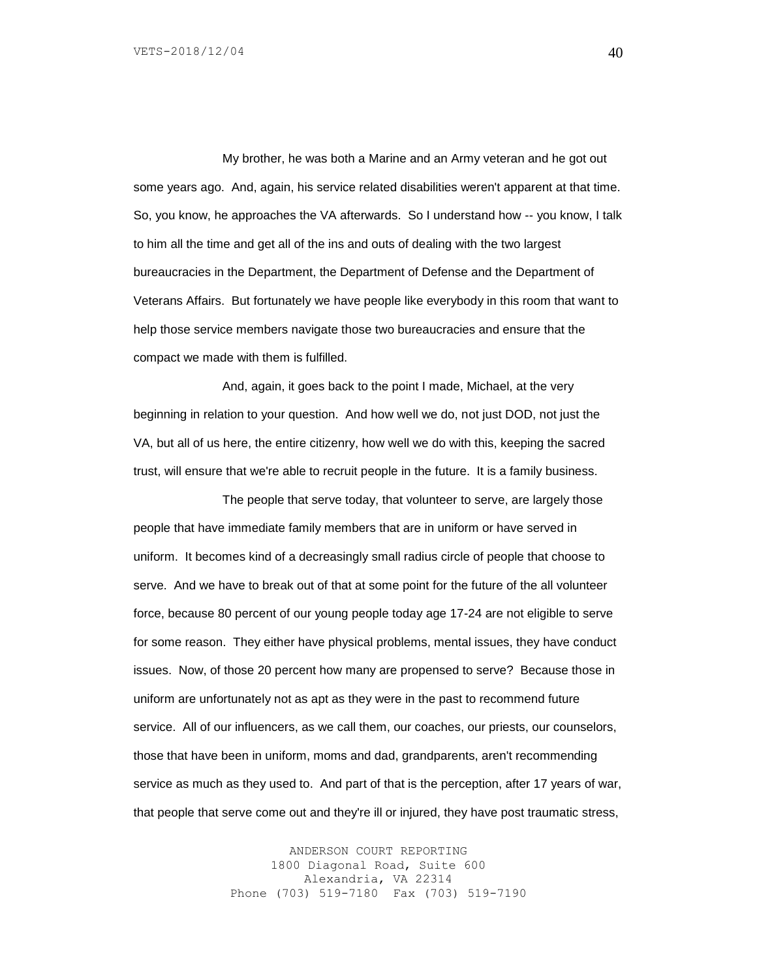My brother, he was both a Marine and an Army veteran and he got out some years ago. And, again, his service related disabilities weren't apparent at that time. So, you know, he approaches the VA afterwards. So I understand how -- you know, I talk to him all the time and get all of the ins and outs of dealing with the two largest bureaucracies in the Department, the Department of Defense and the Department of Veterans Affairs. But fortunately we have people like everybody in this room that want to help those service members navigate those two bureaucracies and ensure that the compact we made with them is fulfilled.

And, again, it goes back to the point I made, Michael, at the very beginning in relation to your question. And how well we do, not just DOD, not just the VA, but all of us here, the entire citizenry, how well we do with this, keeping the sacred trust, will ensure that we're able to recruit people in the future. It is a family business.

The people that serve today, that volunteer to serve, are largely those people that have immediate family members that are in uniform or have served in uniform. It becomes kind of a decreasingly small radius circle of people that choose to serve. And we have to break out of that at some point for the future of the all volunteer force, because 80 percent of our young people today age 17-24 are not eligible to serve for some reason. They either have physical problems, mental issues, they have conduct issues. Now, of those 20 percent how many are propensed to serve? Because those in uniform are unfortunately not as apt as they were in the past to recommend future service. All of our influencers, as we call them, our coaches, our priests, our counselors, those that have been in uniform, moms and dad, grandparents, aren't recommending service as much as they used to. And part of that is the perception, after 17 years of war, that people that serve come out and they're ill or injured, they have post traumatic stress,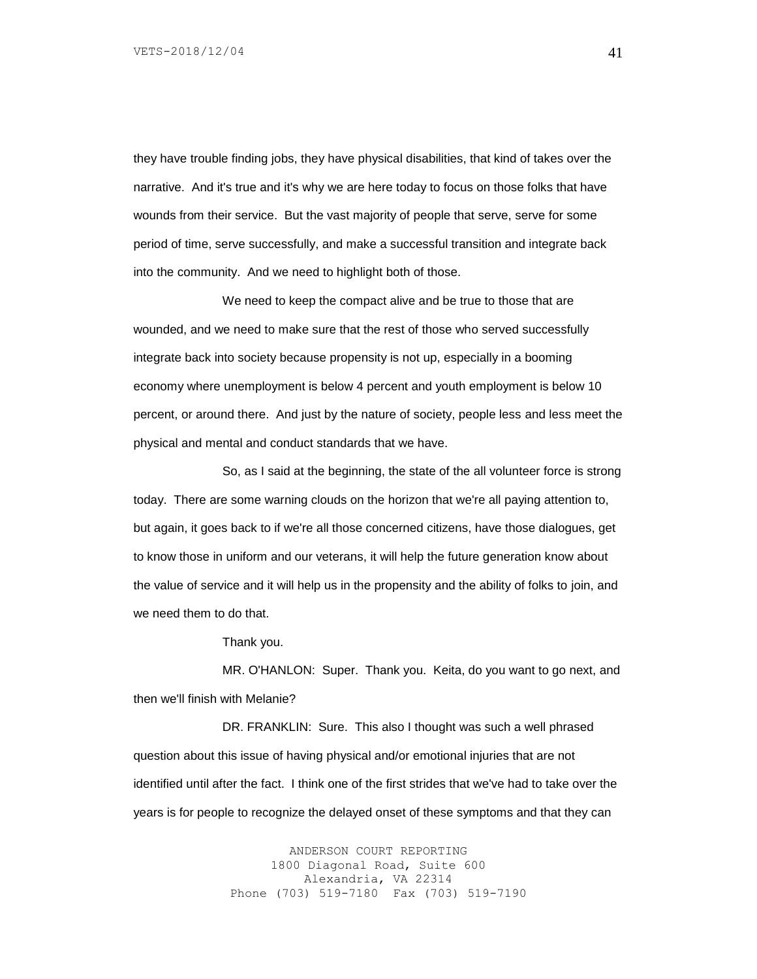they have trouble finding jobs, they have physical disabilities, that kind of takes over the narrative. And it's true and it's why we are here today to focus on those folks that have wounds from their service. But the vast majority of people that serve, serve for some period of time, serve successfully, and make a successful transition and integrate back into the community. And we need to highlight both of those.

We need to keep the compact alive and be true to those that are wounded, and we need to make sure that the rest of those who served successfully integrate back into society because propensity is not up, especially in a booming economy where unemployment is below 4 percent and youth employment is below 10 percent, or around there. And just by the nature of society, people less and less meet the physical and mental and conduct standards that we have.

So, as I said at the beginning, the state of the all volunteer force is strong today. There are some warning clouds on the horizon that we're all paying attention to, but again, it goes back to if we're all those concerned citizens, have those dialogues, get to know those in uniform and our veterans, it will help the future generation know about the value of service and it will help us in the propensity and the ability of folks to join, and we need them to do that.

Thank you.

MR. O'HANLON: Super. Thank you. Keita, do you want to go next, and then we'll finish with Melanie?

DR. FRANKLIN: Sure. This also I thought was such a well phrased question about this issue of having physical and/or emotional injuries that are not identified until after the fact. I think one of the first strides that we've had to take over the years is for people to recognize the delayed onset of these symptoms and that they can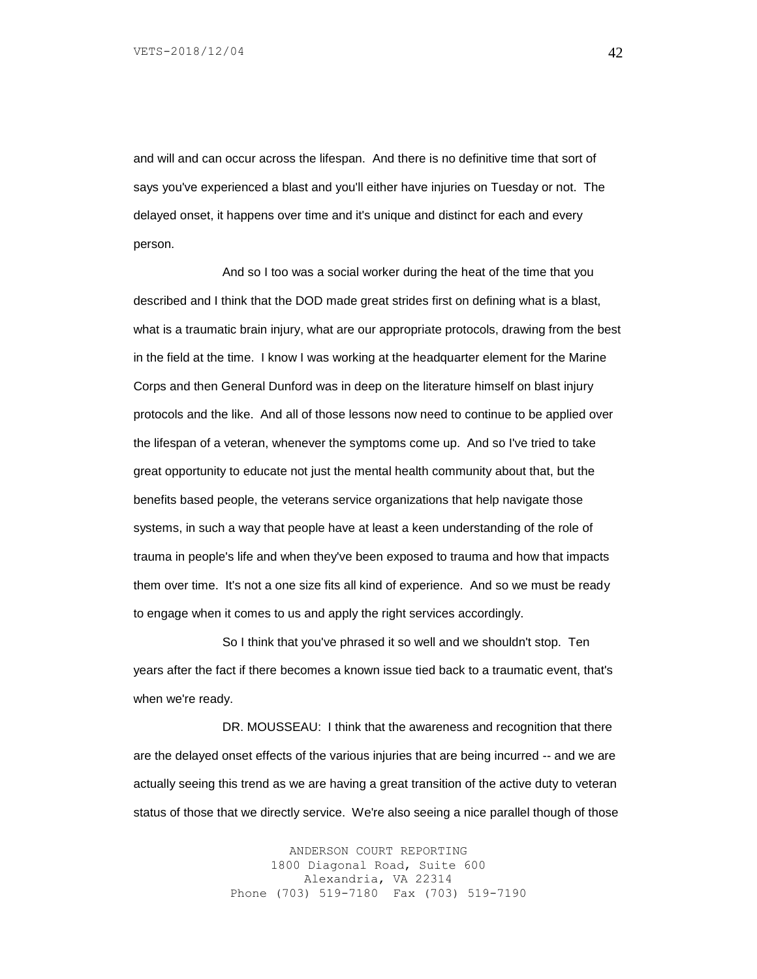and will and can occur across the lifespan. And there is no definitive time that sort of says you've experienced a blast and you'll either have injuries on Tuesday or not. The delayed onset, it happens over time and it's unique and distinct for each and every person.

And so I too was a social worker during the heat of the time that you described and I think that the DOD made great strides first on defining what is a blast, what is a traumatic brain injury, what are our appropriate protocols, drawing from the best in the field at the time. I know I was working at the headquarter element for the Marine Corps and then General Dunford was in deep on the literature himself on blast injury protocols and the like. And all of those lessons now need to continue to be applied over the lifespan of a veteran, whenever the symptoms come up. And so I've tried to take great opportunity to educate not just the mental health community about that, but the benefits based people, the veterans service organizations that help navigate those systems, in such a way that people have at least a keen understanding of the role of trauma in people's life and when they've been exposed to trauma and how that impacts them over time. It's not a one size fits all kind of experience. And so we must be ready to engage when it comes to us and apply the right services accordingly.

So I think that you've phrased it so well and we shouldn't stop. Ten years after the fact if there becomes a known issue tied back to a traumatic event, that's when we're ready.

DR. MOUSSEAU: I think that the awareness and recognition that there are the delayed onset effects of the various injuries that are being incurred -- and we are actually seeing this trend as we are having a great transition of the active duty to veteran status of those that we directly service. We're also seeing a nice parallel though of those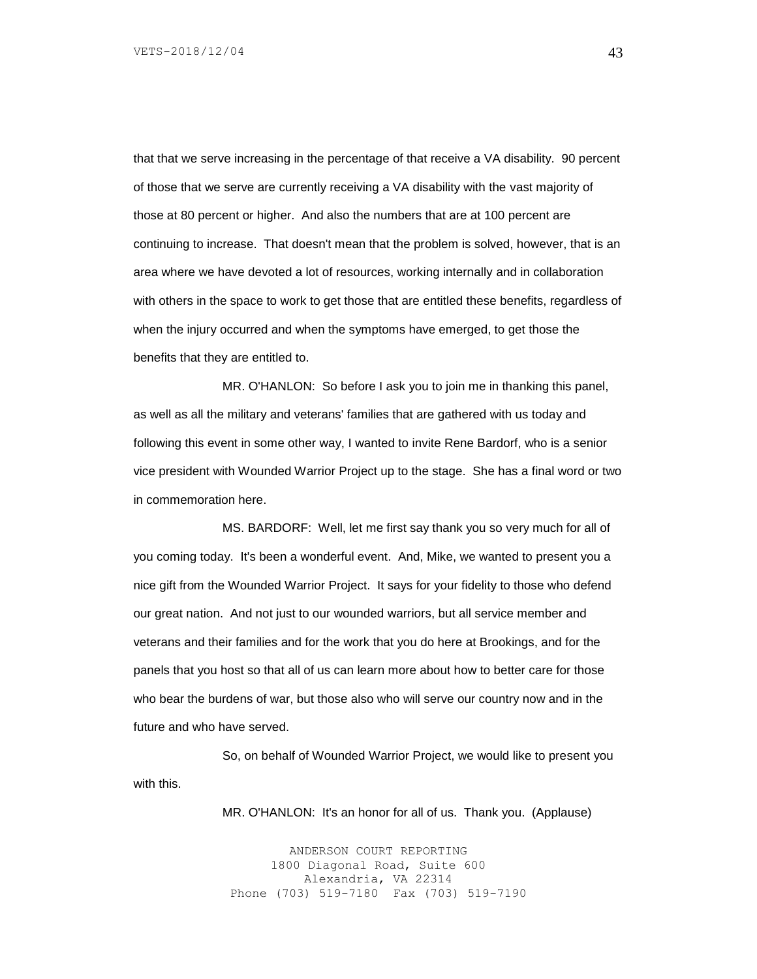that that we serve increasing in the percentage of that receive a VA disability. 90 percent of those that we serve are currently receiving a VA disability with the vast majority of those at 80 percent or higher. And also the numbers that are at 100 percent are continuing to increase. That doesn't mean that the problem is solved, however, that is an area where we have devoted a lot of resources, working internally and in collaboration with others in the space to work to get those that are entitled these benefits, regardless of when the injury occurred and when the symptoms have emerged, to get those the benefits that they are entitled to.

MR. O'HANLON: So before I ask you to join me in thanking this panel, as well as all the military and veterans' families that are gathered with us today and following this event in some other way, I wanted to invite Rene Bardorf, who is a senior vice president with Wounded Warrior Project up to the stage. She has a final word or two in commemoration here.

MS. BARDORF: Well, let me first say thank you so very much for all of you coming today. It's been a wonderful event. And, Mike, we wanted to present you a nice gift from the Wounded Warrior Project. It says for your fidelity to those who defend our great nation. And not just to our wounded warriors, but all service member and veterans and their families and for the work that you do here at Brookings, and for the panels that you host so that all of us can learn more about how to better care for those who bear the burdens of war, but those also who will serve our country now and in the future and who have served.

So, on behalf of Wounded Warrior Project, we would like to present you with this.

MR. O'HANLON: It's an honor for all of us. Thank you. (Applause)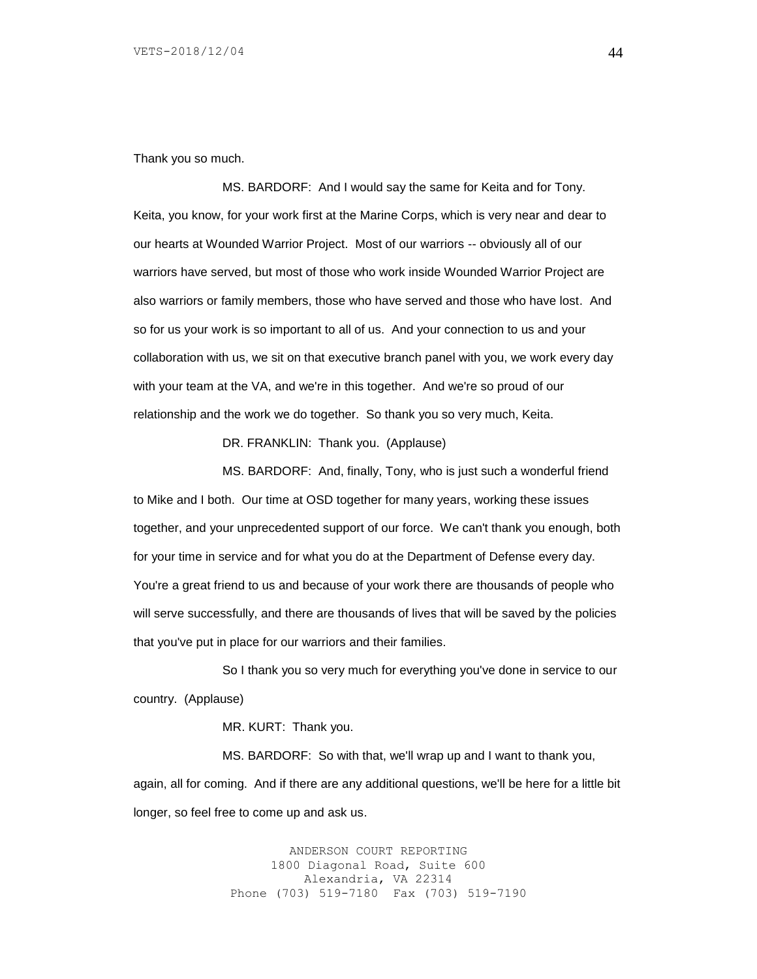Thank you so much.

MS. BARDORF: And I would say the same for Keita and for Tony. Keita, you know, for your work first at the Marine Corps, which is very near and dear to our hearts at Wounded Warrior Project. Most of our warriors -- obviously all of our warriors have served, but most of those who work inside Wounded Warrior Project are also warriors or family members, those who have served and those who have lost. And so for us your work is so important to all of us. And your connection to us and your collaboration with us, we sit on that executive branch panel with you, we work every day with your team at the VA, and we're in this together. And we're so proud of our relationship and the work we do together. So thank you so very much, Keita.

DR. FRANKLIN: Thank you. (Applause)

MS. BARDORF: And, finally, Tony, who is just such a wonderful friend to Mike and I both. Our time at OSD together for many years, working these issues together, and your unprecedented support of our force. We can't thank you enough, both for your time in service and for what you do at the Department of Defense every day. You're a great friend to us and because of your work there are thousands of people who will serve successfully, and there are thousands of lives that will be saved by the policies that you've put in place for our warriors and their families.

So I thank you so very much for everything you've done in service to our country. (Applause)

MR. KURT: Thank you.

MS. BARDORF: So with that, we'll wrap up and I want to thank you, again, all for coming. And if there are any additional questions, we'll be here for a little bit longer, so feel free to come up and ask us.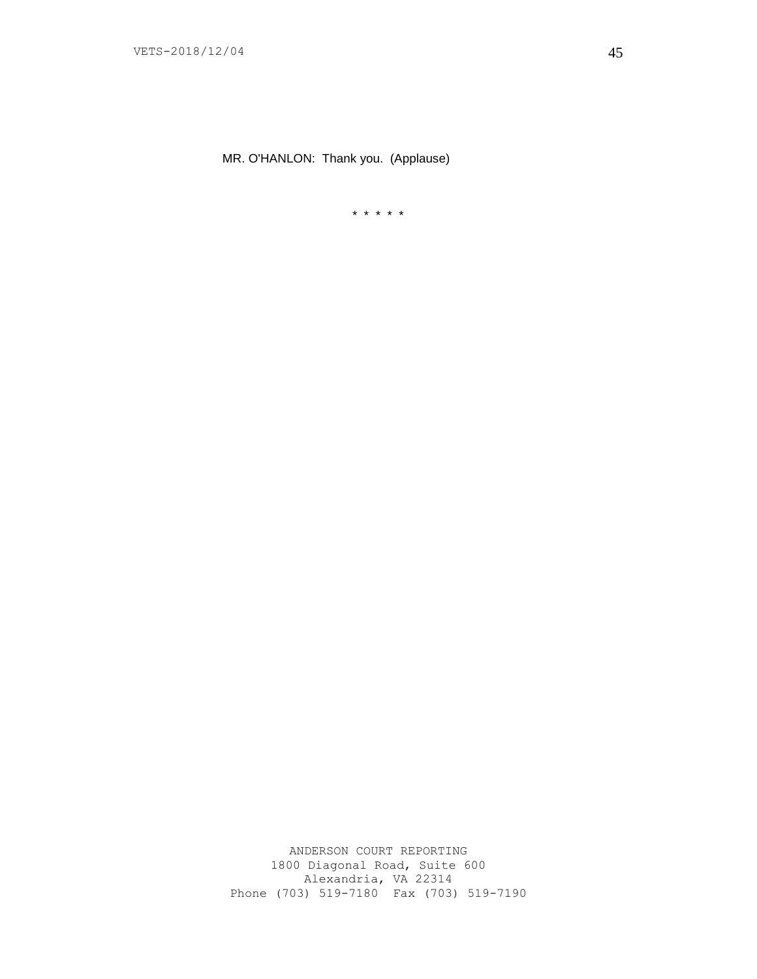MR. O'HANLON: Thank you. (Applause)

\* \* \* \* \*